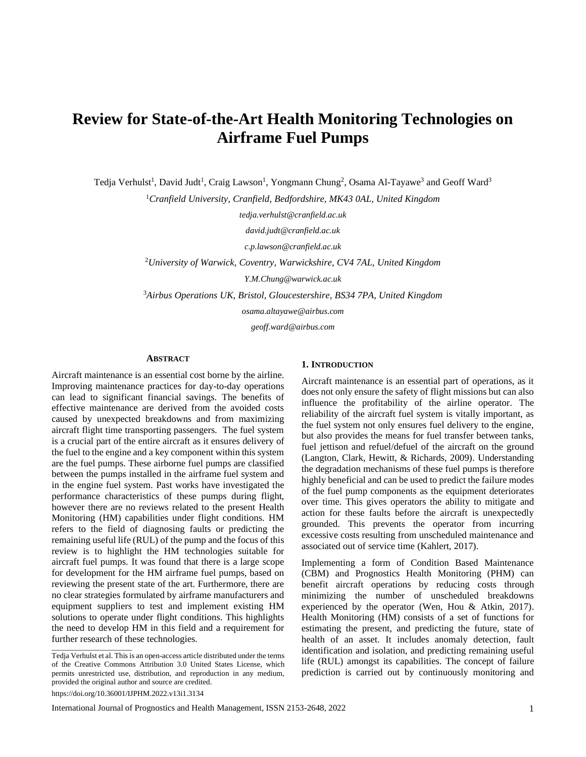# **Review for State-of-the-Art Health Monitoring Technologies on Airframe Fuel Pumps**

Tedja Verhulst<sup>1</sup>, David Judt<sup>1</sup>, Craig Lawson<sup>1</sup>, Yongmann Chung<sup>2</sup>, Osama Al-Tayawe<sup>3</sup> and Geoff Ward<sup>3</sup>

<sup>1</sup>*Cranfield University, Cranfield, Bedfordshire, MK43 0AL, United Kingdom*

*tedja.verhulst@cranfield.ac.uk*

*david.judt@cranfield.ac.uk*

*c.p.lawson@cranfield.ac.uk*

<sup>2</sup>*University of Warwick, Coventry, Warwickshire, CV4 7AL, United Kingdom*

*Y.M.Chung@warwick.ac.uk*

<sup>3</sup>*Airbus Operations UK, Bristol, Gloucestershire, BS34 7PA, United Kingdom*

*osama.altayawe@airbus.com*

*geoff.ward@airbus.com*

#### **ABSTRACT**

Aircraft maintenance is an essential cost borne by the airline. Improving maintenance practices for day-to-day operations can lead to significant financial savings. The benefits of effective maintenance are derived from the avoided costs caused by unexpected breakdowns and from maximizing aircraft flight time transporting passengers. The fuel system is a crucial part of the entire aircraft as it ensures delivery of the fuel to the engine and a key component within this system are the fuel pumps. These airborne fuel pumps are classified between the pumps installed in the airframe fuel system and in the engine fuel system. Past works have investigated the performance characteristics of these pumps during flight, however there are no reviews related to the present Health Monitoring (HM) capabilities under flight conditions. HM refers to the field of diagnosing faults or predicting the remaining useful life (RUL) of the pump and the focus of this review is to highlight the HM technologies suitable for aircraft fuel pumps. It was found that there is a large scope for development for the HM airframe fuel pumps, based on reviewing the present state of the art. Furthermore, there are no clear strategies formulated by airframe manufacturers and equipment suppliers to test and implement existing HM solutions to operate under flight conditions. This highlights the need to develop HM in this field and a requirement for further research of these technologies.  $\overline{\phantom{a}}$  , and the set of the set of the set of the set of the set of the set of the set of the set of the set of the set of the set of the set of the set of the set of the set of the set of the set of the set of the s

## **1. INTRODUCTION**

Aircraft maintenance is an essential part of operations, as it does not only ensure the safety of flight missions but can also influence the profitability of the airline operator. The reliability of the aircraft fuel system is vitally important, as the fuel system not only ensures fuel delivery to the engine, but also provides the means for fuel transfer between tanks, fuel jettison and refuel/defuel of the aircraft on the ground (Langton, Clark, Hewitt, & Richards, 2009). Understanding the degradation mechanisms of these fuel pumps is therefore highly beneficial and can be used to predict the failure modes of the fuel pump components as the equipment deteriorates over time. This gives operators the ability to mitigate and action for these faults before the aircraft is unexpectedly grounded. This prevents the operator from incurring excessive costs resulting from unscheduled maintenance and associated out of service time (Kahlert, 2017).

Implementing a form of Condition Based Maintenance (CBM) and Prognostics Health Monitoring (PHM) can benefit aircraft operations by reducing costs through minimizing the number of unscheduled breakdowns experienced by the operator (Wen, Hou & Atkin, 2017). Health Monitoring (HM) consists of a set of functions for estimating the present, and predicting the future, state of health of an asset. It includes anomaly detection, fault identification and isolation, and predicting remaining useful life (RUL) amongst its capabilities. The concept of failure prediction is carried out by continuously monitoring and

Tedja Verhulst et al. This is an open-access article distributed under the terms of the Creative Commons Attribution 3.0 United States License, which permits unrestricted use, distribution, and reproduction in any medium, provided the original author and source are credited. https://doi.org/10.36001/IJPHM.2022.v13i1.3134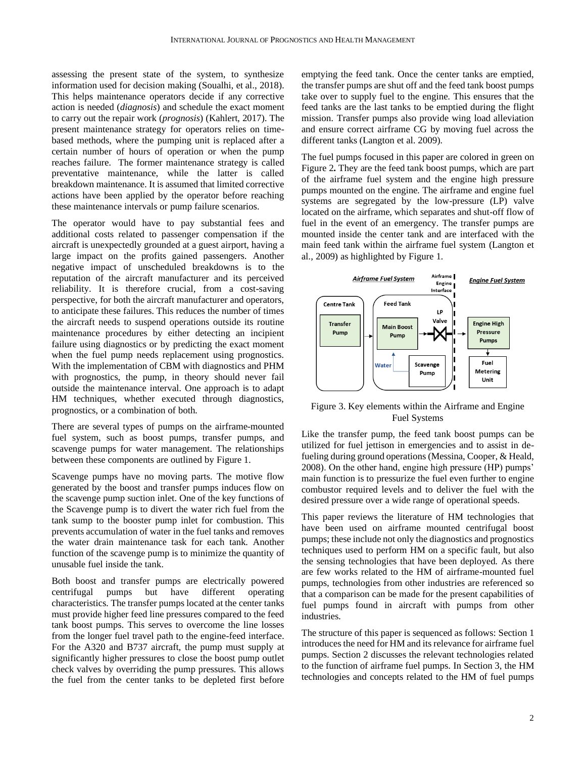assessing the present state of the system, to synthesize information used for decision making (Soualhi, et al., 2018). This helps maintenance operators decide if any corrective action is needed (*diagnosis*) and schedule the exact moment to carry out the repair work (*prognosis*) (Kahlert, 2017). The present maintenance strategy for operators relies on timebased methods, where the pumping unit is replaced after a certain number of hours of operation or when the pump reaches failure. The former maintenance strategy is called preventative maintenance, while the latter is called breakdown maintenance. It is assumed that limited corrective actions have been applied by the operator before reaching these maintenance intervals or pump failure scenarios.

The operator would have to pay substantial fees and additional costs related to passenger compensation if the aircraft is unexpectedly grounded at a guest airport, having a large impact on the profits gained passengers. Another negative impact of unscheduled breakdowns is to the reputation of the aircraft manufacturer and its perceived reliability. It is therefore crucial, from a cost-saving perspective, for both the aircraft manufacturer and operators, to anticipate these failures. This reduces the number of times the aircraft needs to suspend operations outside its routine maintenance procedures by either detecting an incipient failure using diagnostics or by predicting the exact moment when the fuel pump needs replacement using prognostics. With the implementation of CBM with diagnostics and PHM with prognostics, the pump, in theory should never fail outside the maintenance interval. One approach is to adapt HM techniques, whether executed through diagnostics, prognostics, or a combination of both.

There are several types of pumps on the airframe-mounted fuel system, such as boost pumps, transfer pumps, and scavenge pumps for water management. The relationships between these components are outlined by Figure 1.

Scavenge pumps have no moving parts. The motive flow generated by the boost and transfer pumps induces flow on the scavenge pump suction inlet. One of the key functions of the Scavenge pump is to divert the water rich fuel from the tank sump to the booster pump inlet for combustion. This prevents accumulation of water in the fuel tanks and removes the water drain maintenance task for each tank. Another function of the scavenge pump is to minimize the quantity of unusable fuel inside the tank.

Both boost and transfer pumps are electrically powered centrifugal pumps but have different operating characteristics. The transfer pumps located at the center tanks must provide higher feed line pressures compared to the feed tank boost pumps. This serves to overcome the line losses from the longer fuel travel path to the engine-feed interface. For the A320 and B737 aircraft, the pump must supply at significantly higher pressures to close the boost pump outlet check valves by overriding the pump pressures. This allows the fuel from the center tanks to be depleted first before emptying the feed tank. Once the center tanks are emptied, the transfer pumps are shut off and the feed tank boost pumps take over to supply fuel to the engine. This ensures that the feed tanks are the last tanks to be emptied during the flight mission. Transfer pumps also provide wing load alleviation and ensure correct airframe CG by moving fuel across the different tanks (Langton et al. 2009).

The fuel pumps focused in this paper are colored in green on Figure 2**.** They are the feed tank boost pumps, which are part of the airframe fuel system and the engine high pressure pumps mounted on the engine. The airframe and engine fuel systems are segregated by the low-pressure (LP) valve located on the airframe, which separates and shut-off flow of fuel in the event of an emergency. The transfer pumps are mounted inside the center tank and are interfaced with the main feed tank within the airframe fuel system (Langton et al., 2009) as highlighted by Figure 1.



Figure 3. Key elements within the Airframe and Engine Fuel Systems

Like the transfer pump, the feed tank boost pumps can be utilized for fuel jettison in emergencies and to assist in defueling during ground operations (Messina, Cooper, & Heald, 2008). On the other hand, engine high pressure (HP) pumps' main function is to pressurize the fuel even further to engine combustor required levels and to deliver the fuel with the desired pressure over a wide range of operational speeds.

This paper reviews the literature of HM technologies that have been used on airframe mounted centrifugal boost pumps; these include not only the diagnostics and prognostics techniques used to perform HM on a specific fault, but also the sensing technologies that have been deployed. As there are few works related to the HM of airframe-mounted fuel pumps, technologies from other industries are referenced so that a comparison can be made for the present capabilities of fuel pumps found in aircraft with pumps from other industries.

The structure of this paper is sequenced as follows: Section 1 introduces the need for HM and its relevance for airframe fuel pumps. Section 2 discusses the relevant technologies related to the function of airframe fuel pumps. In Section 3, the HM technologies and concepts related to the HM of fuel pumps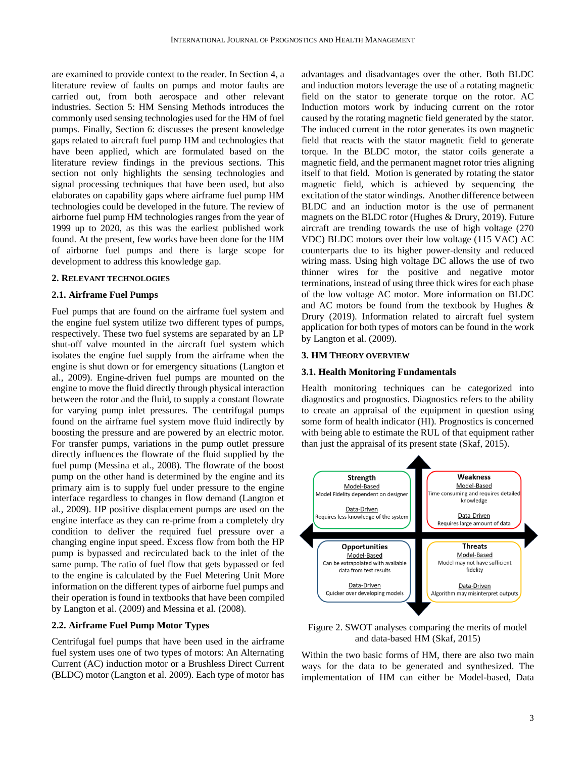are examined to provide context to the reader. In Section 4, a literature review of faults on pumps and motor faults are carried out, from both aerospace and other relevant industries. Section 5: HM Sensing Methods introduces the commonly used sensing technologies used for the HM of fuel pumps. Finally, Section 6: discusses the present knowledge gaps related to aircraft fuel pump HM and technologies that have been applied, which are formulated based on the literature review findings in the previous sections. This section not only highlights the sensing technologies and signal processing techniques that have been used, but also elaborates on capability gaps where airframe fuel pump HM technologies could be developed in the future. The review of airborne fuel pump HM technologies ranges from the year of 1999 up to 2020, as this was the earliest published work found. At the present, few works have been done for the HM of airborne fuel pumps and there is large scope for development to address this knowledge gap.

## **2. RELEVANT TECHNOLOGIES**

## **2.1. Airframe Fuel Pumps**

Fuel pumps that are found on the airframe fuel system and the engine fuel system utilize two different types of pumps, respectively. These two fuel systems are separated by an LP shut-off valve mounted in the aircraft fuel system which isolates the engine fuel supply from the airframe when the engine is shut down or for emergency situations (Langton et al., 2009). Engine-driven fuel pumps are mounted on the engine to move the fluid directly through physical interaction between the rotor and the fluid, to supply a constant flowrate for varying pump inlet pressures. The centrifugal pumps found on the airframe fuel system move fluid indirectly by boosting the pressure and are powered by an electric motor. For transfer pumps, variations in the pump outlet pressure directly influences the flowrate of the fluid supplied by the fuel pump (Messina et al., 2008). The flowrate of the boost pump on the other hand is determined by the engine and its primary aim is to supply fuel under pressure to the engine interface regardless to changes in flow demand (Langton et al., 2009). HP positive displacement pumps are used on the engine interface as they can re-prime from a completely dry condition to deliver the required fuel pressure over a changing engine input speed. Excess flow from both the HP pump is bypassed and recirculated back to the inlet of the same pump. The ratio of fuel flow that gets bypassed or fed to the engine is calculated by the Fuel Metering Unit More information on the different types of airborne fuel pumps and their operation is found in textbooks that have been compiled by Langton et al. (2009) and Messina et al. (2008).

#### **2.2. Airframe Fuel Pump Motor Types**

Centrifugal fuel pumps that have been used in the airframe fuel system uses one of two types of motors: An Alternating Current (AC) induction motor or a Brushless Direct Current (BLDC) motor (Langton et al. 2009). Each type of motor has advantages and disadvantages over the other. Both BLDC and induction motors leverage the use of a rotating magnetic field on the stator to generate torque on the rotor. AC Induction motors work by inducing current on the rotor caused by the rotating magnetic field generated by the stator. The induced current in the rotor generates its own magnetic field that reacts with the stator magnetic field to generate torque. In the BLDC motor, the stator coils generate a magnetic field, and the permanent magnet rotor tries aligning itself to that field. Motion is generated by rotating the stator magnetic field, which is achieved by sequencing the excitation of the stator windings. Another difference between BLDC and an induction motor is the use of permanent magnets on the BLDC rotor (Hughes & Drury, 2019). Future aircraft are trending towards the use of high voltage (270 VDC) BLDC motors over their low voltage (115 VAC) AC counterparts due to its higher power-density and reduced wiring mass. Using high voltage DC allows the use of two thinner wires for the positive and negative motor terminations, instead of using three thick wires for each phase of the low voltage AC motor. More information on BLDC and AC motors be found from the textbook by Hughes & Drury (2019). Information related to aircraft fuel system application for both types of motors can be found in the work by Langton et al. (2009).

#### **3. HM THEORY OVERVIEW**

#### **3.1. Health Monitoring Fundamentals**

Health monitoring techniques can be categorized into diagnostics and prognostics. Diagnostics refers to the ability to create an appraisal of the equipment in question using some form of health indicator (HI). Prognostics is concerned with being able to estimate the RUL of that equipment rather than just the appraisal of its present state (Skaf, 2015).



Figure 2. SWOT analyses comparing the merits of model and data-based HM (Skaf, 2015)

Within the two basic forms of HM, there are also two main ways for the data to be generated and synthesized. The implementation of HM can either be Model-based, Data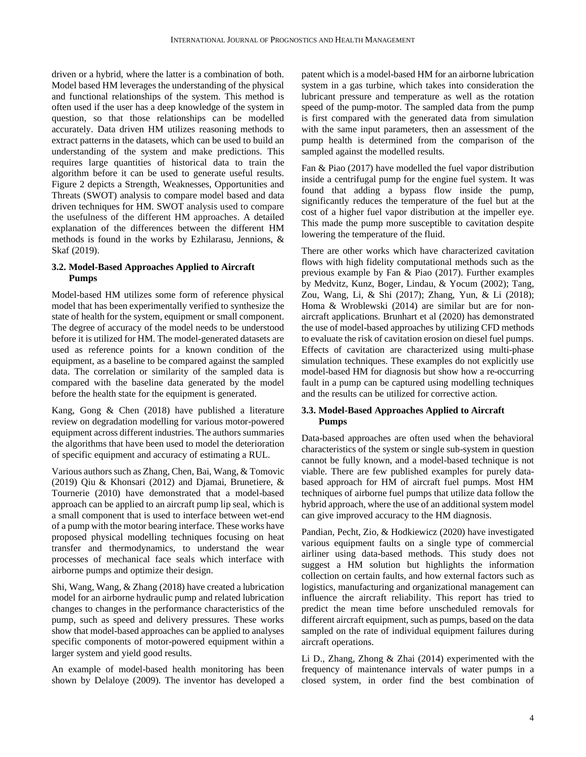driven or a hybrid, where the latter is a combination of both. Model based HM leverages the understanding of the physical and functional relationships of the system. This method is often used if the user has a deep knowledge of the system in question, so that those relationships can be modelled accurately. Data driven HM utilizes reasoning methods to extract patterns in the datasets, which can be used to build an understanding of the system and make predictions. This requires large quantities of historical data to train the algorithm before it can be used to generate useful results. Figure 2 depicts a Strength, Weaknesses, Opportunities and Threats (SWOT) analysis to compare model based and data driven techniques for HM. SWOT analysis used to compare the usefulness of the different HM approaches. A detailed explanation of the differences between the different HM methods is found in the works by Ezhilarasu, Jennions, & Skaf (2019).

# **3.2. Model-Based Approaches Applied to Aircraft Pumps**

Model-based HM utilizes some form of reference physical model that has been experimentally verified to synthesize the state of health for the system, equipment or small component. The degree of accuracy of the model needs to be understood before it is utilized for HM. The model-generated datasets are used as reference points for a known condition of the equipment, as a baseline to be compared against the sampled data. The correlation or similarity of the sampled data is compared with the baseline data generated by the model before the health state for the equipment is generated.

Kang, Gong & Chen (2018) have published a literature review on degradation modelling for various motor-powered equipment across different industries. The authors summaries the algorithms that have been used to model the deterioration of specific equipment and accuracy of estimating a RUL.

Various authors such as Zhang, Chen, Bai, Wang, & Tomovic (2019) Qiu & Khonsari (2012) and Djamai, Brunetiere, & Tournerie (2010) have demonstrated that a model-based approach can be applied to an aircraft pump lip seal, which is a small component that is used to interface between wet-end of a pump with the motor bearing interface. These works have proposed physical modelling techniques focusing on heat transfer and thermodynamics, to understand the wear processes of mechanical face seals which interface with airborne pumps and optimize their design.

Shi, Wang, Wang, & Zhang (2018) have created a lubrication model for an airborne hydraulic pump and related lubrication changes to changes in the performance characteristics of the pump, such as speed and delivery pressures. These works show that model-based approaches can be applied to analyses specific components of motor-powered equipment within a larger system and yield good results.

An example of model-based health monitoring has been shown by Delaloye (2009). The inventor has developed a patent which is a model-based HM for an airborne lubrication system in a gas turbine, which takes into consideration the lubricant pressure and temperature as well as the rotation speed of the pump-motor. The sampled data from the pump is first compared with the generated data from simulation with the same input parameters, then an assessment of the pump health is determined from the comparison of the sampled against the modelled results.

Fan & Piao (2017) have modelled the fuel vapor distribution inside a centrifugal pump for the engine fuel system. It was found that adding a bypass flow inside the pump, significantly reduces the temperature of the fuel but at the cost of a higher fuel vapor distribution at the impeller eye. This made the pump more susceptible to cavitation despite lowering the temperature of the fluid.

There are other works which have characterized cavitation flows with high fidelity computational methods such as the previous example by Fan & Piao (2017). Further examples by Medvitz, Kunz, Boger, Lindau, & Yocum (2002); Tang, Zou, Wang, Li, & Shi (2017); Zhang, Yun, & Li (2018); Homa & Wroblewski (2014) are similar but are for nonaircraft applications. Brunhart et al (2020) has demonstrated the use of model-based approaches by utilizing CFD methods to evaluate the risk of cavitation erosion on diesel fuel pumps. Effects of cavitation are characterized using multi-phase simulation techniques. These examples do not explicitly use model-based HM for diagnosis but show how a re-occurring fault in a pump can be captured using modelling techniques and the results can be utilized for corrective action.

# **3.3. Model-Based Approaches Applied to Aircraft Pumps**

Data-based approaches are often used when the behavioral characteristics of the system or single sub-system in question cannot be fully known, and a model-based technique is not viable. There are few published examples for purely databased approach for HM of aircraft fuel pumps. Most HM techniques of airborne fuel pumps that utilize data follow the hybrid approach, where the use of an additional system model can give improved accuracy to the HM diagnosis.

Pandian, Pecht, Zio, & Hodkiewicz (2020) have investigated various equipment faults on a single type of commercial airliner using data-based methods. This study does not suggest a HM solution but highlights the information collection on certain faults, and how external factors such as logistics, manufacturing and organizational management can influence the aircraft reliability. This report has tried to predict the mean time before unscheduled removals for different aircraft equipment, such as pumps, based on the data sampled on the rate of individual equipment failures during aircraft operations.

Li D., Zhang, Zhong & Zhai (2014) experimented with the frequency of maintenance intervals of water pumps in a closed system, in order find the best combination of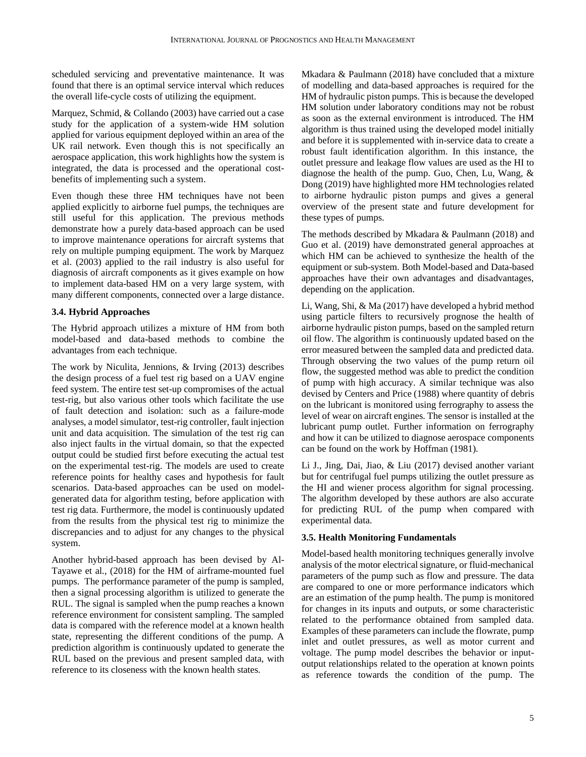scheduled servicing and preventative maintenance. It was found that there is an optimal service interval which reduces the overall life-cycle costs of utilizing the equipment.

Marquez, Schmid, & Collando (2003) have carried out a case study for the application of a system-wide HM solution applied for various equipment deployed within an area of the UK rail network. Even though this is not specifically an aerospace application, this work highlights how the system is integrated, the data is processed and the operational costbenefits of implementing such a system.

Even though these three HM techniques have not been applied explicitly to airborne fuel pumps, the techniques are still useful for this application. The previous methods demonstrate how a purely data-based approach can be used to improve maintenance operations for aircraft systems that rely on multiple pumping equipment. The work by Marquez et al. (2003) applied to the rail industry is also useful for diagnosis of aircraft components as it gives example on how to implement data-based HM on a very large system, with many different components, connected over a large distance.

# **3.4. Hybrid Approaches**

The Hybrid approach utilizes a mixture of HM from both model-based and data-based methods to combine the advantages from each technique.

The work by Niculita, Jennions, & Irving (2013) describes the design process of a fuel test rig based on a UAV engine feed system. The entire test set-up compromises of the actual test-rig, but also various other tools which facilitate the use of fault detection and isolation: such as a failure-mode analyses, a model simulator, test-rig controller, fault injection unit and data acquisition. The simulation of the test rig can also inject faults in the virtual domain, so that the expected output could be studied first before executing the actual test on the experimental test-rig. The models are used to create reference points for healthy cases and hypothesis for fault scenarios. Data-based approaches can be used on modelgenerated data for algorithm testing, before application with test rig data. Furthermore, the model is continuously updated from the results from the physical test rig to minimize the discrepancies and to adjust for any changes to the physical system.

Another hybrid-based approach has been devised by Al-Tayawe et al., (2018) for the HM of airframe-mounted fuel pumps. The performance parameter of the pump is sampled, then a signal processing algorithm is utilized to generate the RUL. The signal is sampled when the pump reaches a known reference environment for consistent sampling. The sampled data is compared with the reference model at a known health state, representing the different conditions of the pump. A prediction algorithm is continuously updated to generate the RUL based on the previous and present sampled data, with reference to its closeness with the known health states.

Mkadara & Paulmann (2018) have concluded that a mixture of modelling and data-based approaches is required for the HM of hydraulic piston pumps. This is because the developed HM solution under laboratory conditions may not be robust as soon as the external environment is introduced. The HM algorithm is thus trained using the developed model initially and before it is supplemented with in-service data to create a robust fault identification algorithm. In this instance, the outlet pressure and leakage flow values are used as the HI to diagnose the health of the pump. Guo, Chen, Lu, Wang, & Dong (2019) have highlighted more HM technologies related to airborne hydraulic piston pumps and gives a general overview of the present state and future development for these types of pumps.

The methods described by Mkadara & Paulmann (2018) and Guo et al. (2019) have demonstrated general approaches at which HM can be achieved to synthesize the health of the equipment or sub-system. Both Model-based and Data-based approaches have their own advantages and disadvantages, depending on the application.

Li, Wang, Shi, & Ma (2017) have developed a hybrid method using particle filters to recursively prognose the health of airborne hydraulic piston pumps, based on the sampled return oil flow. The algorithm is continuously updated based on the error measured between the sampled data and predicted data. Through observing the two values of the pump return oil flow, the suggested method was able to predict the condition of pump with high accuracy. A similar technique was also devised by Centers and Price (1988) where quantity of debris on the lubricant is monitored using ferrography to assess the level of wear on aircraft engines. The sensor is installed at the lubricant pump outlet. Further information on ferrography and how it can be utilized to diagnose aerospace components can be found on the work by Hoffman (1981).

Li J., Jing, Dai, Jiao, & Liu (2017) devised another variant but for centrifugal fuel pumps utilizing the outlet pressure as the HI and wiener process algorithm for signal processing. The algorithm developed by these authors are also accurate for predicting RUL of the pump when compared with experimental data.

# **3.5. Health Monitoring Fundamentals**

Model-based health monitoring techniques generally involve analysis of the motor electrical signature, or fluid-mechanical parameters of the pump such as flow and pressure. The data are compared to one or more performance indicators which are an estimation of the pump health. The pump is monitored for changes in its inputs and outputs, or some characteristic related to the performance obtained from sampled data. Examples of these parameters can include the flowrate, pump inlet and outlet pressures, as well as motor current and voltage. The pump model describes the behavior or inputoutput relationships related to the operation at known points as reference towards the condition of the pump. The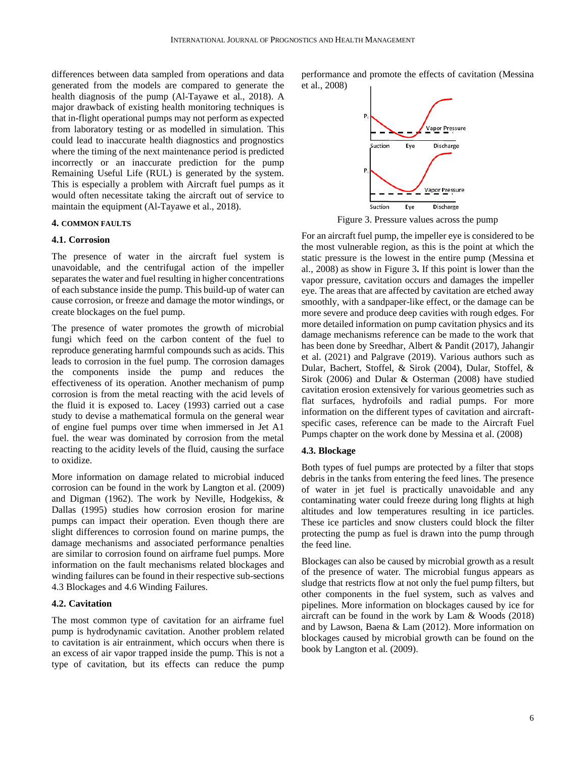differences between data sampled from operations and data generated from the models are compared to generate the health diagnosis of the pump (Al-Tayawe et al., 2018). A major drawback of existing health monitoring techniques is that in-flight operational pumps may not perform as expected from laboratory testing or as modelled in simulation. This could lead to inaccurate health diagnostics and prognostics where the timing of the next maintenance period is predicted incorrectly or an inaccurate prediction for the pump Remaining Useful Life (RUL) is generated by the system. This is especially a problem with Aircraft fuel pumps as it would often necessitate taking the aircraft out of service to maintain the equipment (Al-Tayawe et al., 2018).

#### **4. COMMON FAULTS**

## **4.1. Corrosion**

The presence of water in the aircraft fuel system is unavoidable, and the centrifugal action of the impeller separates the water and fuel resulting in higher concentrations of each substance inside the pump. This build-up of water can cause corrosion, or freeze and damage the motor windings, or create blockages on the fuel pump.

The presence of water promotes the growth of microbial fungi which feed on the carbon content of the fuel to reproduce generating harmful compounds such as acids. This leads to corrosion in the fuel pump. The corrosion damages the components inside the pump and reduces the effectiveness of its operation. Another mechanism of pump corrosion is from the metal reacting with the acid levels of the fluid it is exposed to. Lacey (1993) carried out a case study to devise a mathematical formula on the general wear of engine fuel pumps over time when immersed in Jet A1 fuel. the wear was dominated by corrosion from the metal reacting to the acidity levels of the fluid, causing the surface to oxidize.

More information on damage related to microbial induced corrosion can be found in the work by Langton et al. (2009) and Digman (1962). The work by Neville, Hodgekiss, & Dallas (1995) studies how corrosion erosion for marine pumps can impact their operation. Even though there are slight differences to corrosion found on marine pumps, the damage mechanisms and associated performance penalties are similar to corrosion found on airframe fuel pumps. More information on the fault mechanisms related blockages and winding failures can be found in their respective sub-sections 4.3 Blockages and 4.6 Winding Failures.

# **4.2. Cavitation**

The most common type of cavitation for an airframe fuel pump is hydrodynamic cavitation. Another problem related to cavitation is air entrainment, which occurs when there is an excess of air vapor trapped inside the pump. This is not a type of cavitation, but its effects can reduce the pump performance and promote the effects of cavitation (Messina et al., 2008)



Figure 3. Pressure values across the pump

For an aircraft fuel pump, the impeller eye is considered to be the most vulnerable region, as this is the point at which the static pressure is the lowest in the entire pump (Messina et al., 2008) as show in Figure 3**.** If this point is lower than the vapor pressure, cavitation occurs and damages the impeller eye. The areas that are affected by cavitation are etched away smoothly, with a sandpaper-like effect, or the damage can be more severe and produce deep cavities with rough edges. For more detailed information on pump cavitation physics and its damage mechanisms reference can be made to the work that has been done by Sreedhar, Albert & Pandit (2017), Jahangir et al. (2021) and Palgrave (2019). Various authors such as Dular, Bachert, Stoffel, & Sirok (2004), Dular, Stoffel, & Sirok (2006) and Dular & Osterman (2008) have studied cavitation erosion extensively for various geometries such as flat surfaces, hydrofoils and radial pumps. For more information on the different types of cavitation and aircraftspecific cases, reference can be made to the Aircraft Fuel Pumps chapter on the work done by Messina et al. (2008)

## **4.3. Blockage**

Both types of fuel pumps are protected by a filter that stops debris in the tanks from entering the feed lines. The presence of water in jet fuel is practically unavoidable and any contaminating water could freeze during long flights at high altitudes and low temperatures resulting in ice particles. These ice particles and snow clusters could block the filter protecting the pump as fuel is drawn into the pump through the feed line.

Blockages can also be caused by microbial growth as a result of the presence of water. The microbial fungus appears as sludge that restricts flow at not only the fuel pump filters, but other components in the fuel system, such as valves and pipelines. More information on blockages caused by ice for aircraft can be found in the work by Lam & Woods (2018) and by Lawson, Baena & Lam (2012). More information on blockages caused by microbial growth can be found on the book by Langton et al. (2009).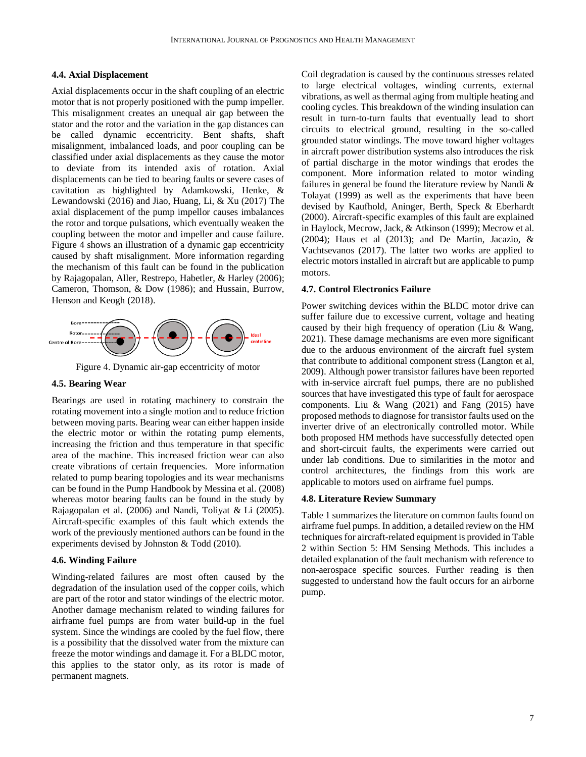#### **4.4. Axial Displacement**

Axial displacements occur in the shaft coupling of an electric motor that is not properly positioned with the pump impeller. This misalignment creates an unequal air gap between the stator and the rotor and the variation in the gap distances can be called dynamic eccentricity. Bent shafts, shaft misalignment, imbalanced loads, and poor coupling can be classified under axial displacements as they cause the motor to deviate from its intended axis of rotation. Axial displacements can be tied to bearing faults or severe cases of cavitation as highlighted by Adamkowski, Henke, & Lewandowski (2016) and Jiao, Huang, Li, & Xu (2017) The axial displacement of the pump impellor causes imbalances the rotor and torque pulsations, which eventually weaken the coupling between the motor and impeller and cause failure. Figure 4 shows an illustration of a dynamic gap eccentricity caused by shaft misalignment. More information regarding the mechanism of this fault can be found in the publication by Rajagopalan, Aller, Restrepo, Habetler, & Harley (2006); Cameron, Thomson, & Dow (1986); and Hussain, Burrow, Henson and Keogh (2018).



Figure 4. Dynamic air-gap eccentricity of motor

## **4.5. Bearing Wear**

Bearings are used in rotating machinery to constrain the rotating movement into a single motion and to reduce friction between moving parts. Bearing wear can either happen inside the electric motor or within the rotating pump elements, increasing the friction and thus temperature in that specific area of the machine. This increased friction wear can also create vibrations of certain frequencies. More information related to pump bearing topologies and its wear mechanisms can be found in the Pump Handbook by Messina et al. (2008) whereas motor bearing faults can be found in the study by Rajagopalan et al. (2006) and Nandi, Toliyat & Li (2005). Aircraft-specific examples of this fault which extends the work of the previously mentioned authors can be found in the experiments devised by Johnston & Todd (2010).

#### **4.6. Winding Failure**

Winding-related failures are most often caused by the degradation of the insulation used of the copper coils, which are part of the rotor and stator windings of the electric motor. Another damage mechanism related to winding failures for airframe fuel pumps are from water build-up in the fuel system. Since the windings are cooled by the fuel flow, there is a possibility that the dissolved water from the mixture can freeze the motor windings and damage it. For a BLDC motor, this applies to the stator only, as its rotor is made of permanent magnets.

Coil degradation is caused by the continuous stresses related to large electrical voltages, winding currents, external vibrations, as well as thermal aging from multiple heating and cooling cycles. This breakdown of the winding insulation can result in turn-to-turn faults that eventually lead to short circuits to electrical ground, resulting in the so-called grounded stator windings. The move toward higher voltages in aircraft power distribution systems also introduces the risk of partial discharge in the motor windings that erodes the component. More information related to motor winding failures in general be found the literature review by Nandi & Tolayat (1999) as well as the experiments that have been devised by Kaufhold, Aninger, Berth, Speck & Eberhardt (2000). Aircraft-specific examples of this fault are explained in Haylock, Mecrow, Jack, & Atkinson (1999); Mecrow et al. (2004); Haus et al (2013); and De Martin, Jacazio, & Vachtsevanos (2017). The latter two works are applied to electric motors installed in aircraft but are applicable to pump motors.

#### **4.7. Control Electronics Failure**

Power switching devices within the BLDC motor drive can suffer failure due to excessive current, voltage and heating caused by their high frequency of operation (Liu & Wang, 2021). These damage mechanisms are even more significant due to the arduous environment of the aircraft fuel system that contribute to additional component stress (Langton et al, 2009). Although power transistor failures have been reported with in-service aircraft fuel pumps, there are no published sources that have investigated this type of fault for aerospace components. Liu & Wang (2021) and Fang (2015) have proposed methods to diagnose for transistor faults used on the inverter drive of an electronically controlled motor. While both proposed HM methods have successfully detected open and short-circuit faults, the experiments were carried out under lab conditions. Due to similarities in the motor and control architectures, the findings from this work are applicable to motors used on airframe fuel pumps.

# **4.8. Literature Review Summary**

Table 1 summarizes the literature on common faults found on airframe fuel pumps. In addition, a detailed review on the HM techniques for aircraft-related equipment is provided in Table 2 within Section 5: HM Sensing Methods. This includes a detailed explanation of the fault mechanism with reference to non-aerospace specific sources. Further reading is then suggested to understand how the fault occurs for an airborne pump.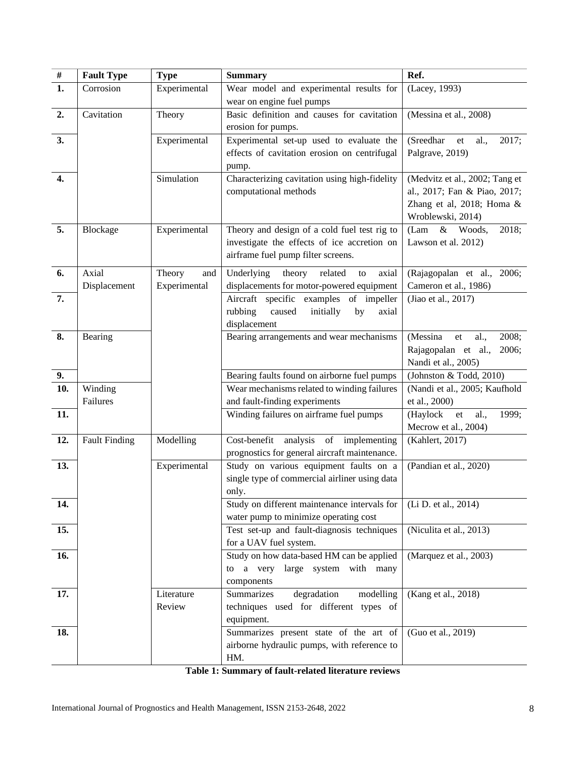| $\#$ | <b>Fault Type</b>    | <b>Type</b>   | <b>Summary</b>                                                       | Ref.                                                            |
|------|----------------------|---------------|----------------------------------------------------------------------|-----------------------------------------------------------------|
| 1.   | Corrosion            | Experimental  | Wear model and experimental results for                              | (Lacey, 1993)                                                   |
|      |                      |               | wear on engine fuel pumps                                            |                                                                 |
| 2.   | Cavitation           | Theory        | Basic definition and causes for cavitation                           | (Messina et al., 2008)                                          |
|      |                      |               | erosion for pumps.                                                   |                                                                 |
| 3.   |                      | Experimental  | Experimental set-up used to evaluate the                             | (Sreedhar<br>al.,<br>et<br>2017;                                |
|      |                      |               | effects of cavitation erosion on centrifugal                         | Palgrave, 2019)                                                 |
|      |                      |               | pump.                                                                |                                                                 |
| 4.   |                      | Simulation    | Characterizing cavitation using high-fidelity                        | (Medvitz et al., 2002; Tang et                                  |
|      |                      |               | computational methods                                                | al., 2017; Fan & Piao, 2017;                                    |
|      |                      |               |                                                                      | Zhang et al, 2018; Homa &                                       |
|      |                      |               |                                                                      | Wroblewski, 2014)                                               |
| 5.   | Blockage             | Experimental  | Theory and design of a cold fuel test rig to                         | (Lam<br>$\&$<br>2018;<br>Woods,                                 |
|      |                      |               | investigate the effects of ice accretion on                          | Lawson et al. 2012)                                             |
|      |                      |               | airframe fuel pump filter screens.                                   |                                                                 |
| 6.   | Axial                | Theory<br>and | Underlying<br>theory<br>related<br>axial<br>to                       | (Rajagopalan et al., 2006;                                      |
|      | Displacement         | Experimental  | displacements for motor-powered equipment                            | Cameron et al., 1986)                                           |
| 7.   |                      |               | Aircraft specific examples<br>of impeller                            | (Jiao et al., 2017)                                             |
|      |                      |               | rubbing<br>caused<br>initially<br>by<br>axial                        |                                                                 |
| 8.   |                      |               | displacement                                                         |                                                                 |
|      | Bearing              |               | Bearing arrangements and wear mechanisms                             | (Messina<br>2008;<br>al.,<br>et<br>Rajagopalan et al.,<br>2006; |
|      |                      |               |                                                                      | Nandi et al., 2005)                                             |
| 9.   |                      |               | Bearing faults found on airborne fuel pumps                          | (Johnston & Todd, 2010)                                         |
| 10.  | Winding              |               | Wear mechanisms related to winding failures                          | (Nandi et al., 2005; Kaufhold                                   |
|      | Failures             |               | and fault-finding experiments                                        | et al., 2000)                                                   |
| 11.  |                      |               | Winding failures on airframe fuel pumps                              | (Haylock<br>al.,<br>1999;<br>et                                 |
|      |                      |               |                                                                      | Mecrow et al., 2004)                                            |
| 12.  | <b>Fault Finding</b> | Modelling     | Cost-benefit<br>analysis of implementing                             | (Kahlert, 2017)                                                 |
|      |                      |               | prognostics for general aircraft maintenance.                        |                                                                 |
| 13.  |                      | Experimental  | Study on various equipment faults on a                               | (Pandian et al., 2020)                                          |
|      |                      |               | single type of commercial airliner using data                        |                                                                 |
|      |                      |               | only.                                                                |                                                                 |
| 14.  |                      |               | Study on different maintenance intervals for                         | (Li D. et al., 2014)                                            |
|      |                      |               | water pump to minimize operating cost                                |                                                                 |
| 15.  |                      |               | Test set-up and fault-diagnosis techniques<br>for a UAV fuel system. | (Niculita et al., 2013)                                         |
| 16.  |                      |               | Study on how data-based HM can be applied                            | (Marquez et al., 2003)                                          |
|      |                      |               | to a very large system with many                                     |                                                                 |
|      |                      |               | components                                                           |                                                                 |
| 17.  |                      | Literature    | degradation<br>Summarizes<br>modelling                               | (Kang et al., 2018)                                             |
|      |                      | Review        | techniques used for different types of                               |                                                                 |
|      |                      |               | equipment.                                                           |                                                                 |
| 18.  |                      |               | Summarizes present state of the art of                               | (Guo et al., 2019)                                              |
|      |                      |               | airborne hydraulic pumps, with reference to                          |                                                                 |
|      |                      |               | HM.                                                                  |                                                                 |

**Table 1: Summary of fault-related literature reviews**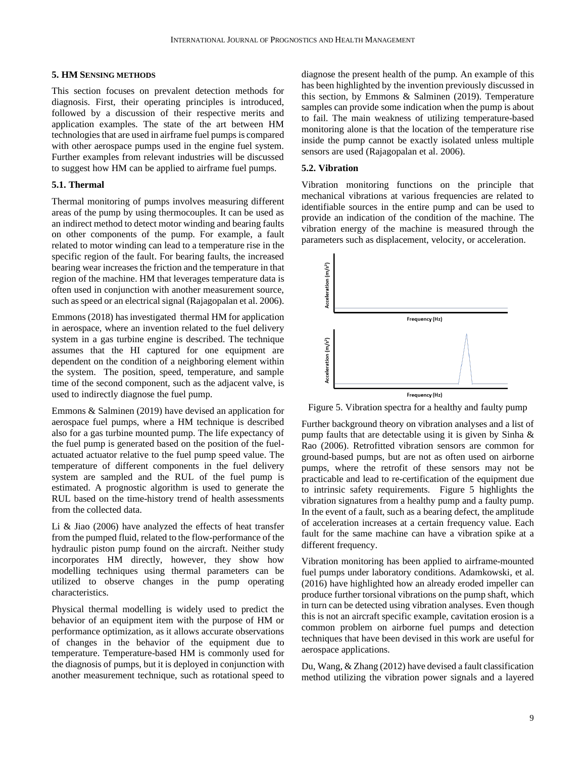#### **5. HM SENSING METHODS**

This section focuses on prevalent detection methods for diagnosis. First, their operating principles is introduced, followed by a discussion of their respective merits and application examples. The state of the art between HM technologies that are used in airframe fuel pumps is compared with other aerospace pumps used in the engine fuel system. Further examples from relevant industries will be discussed to suggest how HM can be applied to airframe fuel pumps.

# **5.1. Thermal**

Thermal monitoring of pumps involves measuring different areas of the pump by using thermocouples. It can be used as an indirect method to detect motor winding and bearing faults on other components of the pump. For example, a fault related to motor winding can lead to a temperature rise in the specific region of the fault. For bearing faults, the increased bearing wear increases the friction and the temperature in that region of the machine. HM that leverages temperature data is often used in conjunction with another measurement source, such asspeed or an electrical signal (Rajagopalan et al. 2006).

Emmons (2018) has investigated thermal HM for application in aerospace, where an invention related to the fuel delivery system in a gas turbine engine is described. The technique assumes that the HI captured for one equipment are dependent on the condition of a neighboring element within the system. The position, speed, temperature, and sample time of the second component, such as the adjacent valve, is used to indirectly diagnose the fuel pump.

Emmons & Salminen (2019) have devised an application for aerospace fuel pumps, where a HM technique is described also for a gas turbine mounted pump. The life expectancy of the fuel pump is generated based on the position of the fuelactuated actuator relative to the fuel pump speed value. The temperature of different components in the fuel delivery system are sampled and the RUL of the fuel pump is estimated. A prognostic algorithm is used to generate the RUL based on the time-history trend of health assessments from the collected data.

Li & Jiao (2006) have analyzed the effects of heat transfer from the pumped fluid, related to the flow-performance of the hydraulic piston pump found on the aircraft. Neither study incorporates HM directly, however, they show how modelling techniques using thermal parameters can be utilized to observe changes in the pump operating characteristics.

Physical thermal modelling is widely used to predict the behavior of an equipment item with the purpose of HM or performance optimization, as it allows accurate observations of changes in the behavior of the equipment due to temperature. Temperature-based HM is commonly used for the diagnosis of pumps, but it is deployed in conjunction with another measurement technique, such as rotational speed to diagnose the present health of the pump. An example of this has been highlighted by the invention previously discussed in this section, by Emmons & Salminen (2019). Temperature samples can provide some indication when the pump is about to fail. The main weakness of utilizing temperature-based monitoring alone is that the location of the temperature rise inside the pump cannot be exactly isolated unless multiple sensors are used (Rajagopalan et al. 2006).

# **5.2. Vibration**

Vibration monitoring functions on the principle that mechanical vibrations at various frequencies are related to identifiable sources in the entire pump and can be used to provide an indication of the condition of the machine. The vibration energy of the machine is measured through the parameters such as displacement, velocity, or acceleration.



Figure 5. Vibration spectra for a healthy and faulty pump

Further background theory on vibration analyses and a list of pump faults that are detectable using it is given by Sinha & Rao (2006). Retrofitted vibration sensors are common for ground-based pumps, but are not as often used on airborne pumps, where the retrofit of these sensors may not be practicable and lead to re-certification of the equipment due to intrinsic safety requirements. Figure 5 highlights the vibration signatures from a healthy pump and a faulty pump. In the event of a fault, such as a bearing defect, the amplitude of acceleration increases at a certain frequency value. Each fault for the same machine can have a vibration spike at a different frequency.

Vibration monitoring has been applied to airframe-mounted fuel pumps under laboratory conditions. Adamkowski, et al. (2016) have highlighted how an already eroded impeller can produce further torsional vibrations on the pump shaft, which in turn can be detected using vibration analyses. Even though this is not an aircraft specific example, cavitation erosion is a common problem on airborne fuel pumps and detection techniques that have been devised in this work are useful for aerospace applications.

Du, Wang, & Zhang (2012) have devised a fault classification method utilizing the vibration power signals and a layered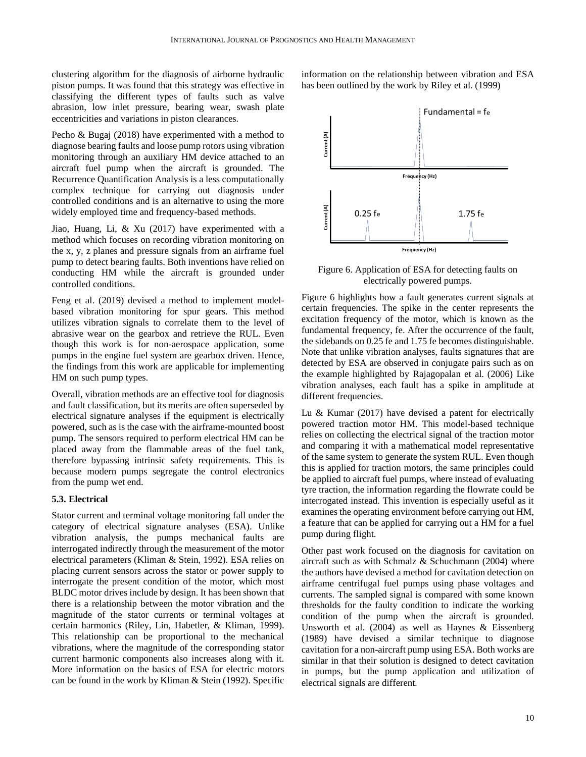clustering algorithm for the diagnosis of airborne hydraulic piston pumps. It was found that this strategy was effective in classifying the different types of faults such as valve abrasion, low inlet pressure, bearing wear, swash plate eccentricities and variations in piston clearances.

Pecho & Bugaj (2018) have experimented with a method to diagnose bearing faults and loose pump rotors using vibration monitoring through an auxiliary HM device attached to an aircraft fuel pump when the aircraft is grounded. The Recurrence Quantification Analysis is a less computationally complex technique for carrying out diagnosis under controlled conditions and is an alternative to using the more widely employed time and frequency-based methods.

Jiao, Huang, Li, & Xu (2017) have experimented with a method which focuses on recording vibration monitoring on the x, y, z planes and pressure signals from an airframe fuel pump to detect bearing faults. Both inventions have relied on conducting HM while the aircraft is grounded under controlled conditions.

Feng et al. (2019) devised a method to implement modelbased vibration monitoring for spur gears. This method utilizes vibration signals to correlate them to the level of abrasive wear on the gearbox and retrieve the RUL. Even though this work is for non-aerospace application, some pumps in the engine fuel system are gearbox driven. Hence, the findings from this work are applicable for implementing HM on such pump types.

Overall, vibration methods are an effective tool for diagnosis and fault classification, but its merits are often superseded by electrical signature analyses if the equipment is electrically powered, such as is the case with the airframe-mounted boost pump. The sensors required to perform electrical HM can be placed away from the flammable areas of the fuel tank, therefore bypassing intrinsic safety requirements. This is because modern pumps segregate the control electronics from the pump wet end.

## **5.3. Electrical**

Stator current and terminal voltage monitoring fall under the category of electrical signature analyses (ESA). Unlike vibration analysis, the pumps mechanical faults are interrogated indirectly through the measurement of the motor electrical parameters (Kliman & Stein, 1992). ESA relies on placing current sensors across the stator or power supply to interrogate the present condition of the motor, which most BLDC motor drives include by design. It has been shown that there is a relationship between the motor vibration and the magnitude of the stator currents or terminal voltages at certain harmonics (Riley, Lin, Habetler, & Kliman, 1999). This relationship can be proportional to the mechanical vibrations, where the magnitude of the corresponding stator current harmonic components also increases along with it. More information on the basics of ESA for electric motors can be found in the work by Kliman & Stein (1992). Specific

Fundamental = fe Current(A) Frequency (Hz) Current (A)  $0.25f$ e 1.75 fe

information on the relationship between vibration and ESA

has been outlined by the work by Riley et al. (1999)

Figure 6. Application of ESA for detecting faults on electrically powered pumps.

Frequency (Hz)

Figure 6 highlights how a fault generates current signals at certain frequencies. The spike in the center represents the excitation frequency of the motor, which is known as the fundamental frequency, fe. After the occurrence of the fault, the sidebands on 0.25 fe and 1.75 fe becomes distinguishable. Note that unlike vibration analyses, faults signatures that are detected by ESA are observed in conjugate pairs such as on the example highlighted by Rajagopalan et al. (2006) Like vibration analyses, each fault has a spike in amplitude at different frequencies.

Lu & Kumar (2017) have devised a patent for electrically powered traction motor HM. This model-based technique relies on collecting the electrical signal of the traction motor and comparing it with a mathematical model representative of the same system to generate the system RUL. Even though this is applied for traction motors, the same principles could be applied to aircraft fuel pumps, where instead of evaluating tyre traction, the information regarding the flowrate could be interrogated instead. This invention is especially useful as it examines the operating environment before carrying out HM, a feature that can be applied for carrying out a HM for a fuel pump during flight.

Other past work focused on the diagnosis for cavitation on aircraft such as with Schmalz & Schuchmann (2004) where the authors have devised a method for cavitation detection on airframe centrifugal fuel pumps using phase voltages and currents. The sampled signal is compared with some known thresholds for the faulty condition to indicate the working condition of the pump when the aircraft is grounded. Unsworth et al. (2004) as well as Haynes & Eissenberg (1989) have devised a similar technique to diagnose cavitation for a non-aircraft pump using ESA. Both works are similar in that their solution is designed to detect cavitation in pumps, but the pump application and utilization of electrical signals are different.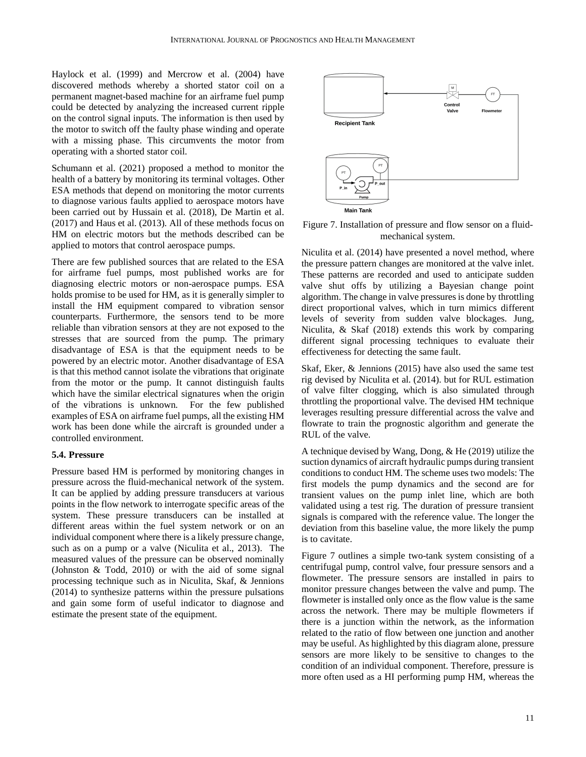Haylock et al. (1999) and Mercrow et al. (2004) have discovered methods whereby a shorted stator coil on a permanent magnet-based machine for an airframe fuel pump could be detected by analyzing the increased current ripple on the control signal inputs. The information is then used by the motor to switch off the faulty phase winding and operate with a missing phase. This circumvents the motor from operating with a shorted stator coil.

Schumann et al. (2021) proposed a method to monitor the health of a battery by monitoring its terminal voltages. Other ESA methods that depend on monitoring the motor currents to diagnose various faults applied to aerospace motors have been carried out by Hussain et al. (2018), De Martin et al. (2017) and Haus et al. (2013). All of these methods focus on HM on electric motors but the methods described can be applied to motors that control aerospace pumps.

There are few published sources that are related to the ESA for airframe fuel pumps, most published works are for diagnosing electric motors or non-aerospace pumps. ESA holds promise to be used for HM, as it is generally simpler to install the HM equipment compared to vibration sensor counterparts. Furthermore, the sensors tend to be more reliable than vibration sensors at they are not exposed to the stresses that are sourced from the pump. The primary disadvantage of ESA is that the equipment needs to be powered by an electric motor. Another disadvantage of ESA is that this method cannot isolate the vibrations that originate from the motor or the pump. It cannot distinguish faults which have the similar electrical signatures when the origin of the vibrations is unknown. For the few published examples of ESA on airframe fuel pumps, all the existing HM work has been done while the aircraft is grounded under a controlled environment.

## **5.4. Pressure**

Pressure based HM is performed by monitoring changes in pressure across the fluid-mechanical network of the system. It can be applied by adding pressure transducers at various points in the flow network to interrogate specific areas of the system. These pressure transducers can be installed at different areas within the fuel system network or on an individual component where there is a likely pressure change, such as on a pump or a valve (Niculita et al., 2013). The measured values of the pressure can be observed nominally (Johnston & Todd, 2010) or with the aid of some signal processing technique such as in Niculita, Skaf, & Jennions (2014) to synthesize patterns within the pressure pulsations and gain some form of useful indicator to diagnose and estimate the present state of the equipment.



Figure 7. Installation of pressure and flow sensor on a fluidmechanical system.

Niculita et al. (2014) have presented a novel method, where the pressure pattern changes are monitored at the valve inlet. These patterns are recorded and used to anticipate sudden valve shut offs by utilizing a Bayesian change point algorithm. The change in valve pressures is done by throttling direct proportional valves, which in turn mimics different levels of severity from sudden valve blockages. Jung, Niculita, & Skaf (2018) extends this work by comparing different signal processing techniques to evaluate their effectiveness for detecting the same fault.

Skaf, Eker, & Jennions (2015) have also used the same test rig devised by Niculita et al. (2014). but for RUL estimation of valve filter clogging, which is also simulated through throttling the proportional valve. The devised HM technique leverages resulting pressure differential across the valve and flowrate to train the prognostic algorithm and generate the RUL of the valve.

A technique devised by Wang, Dong, & He (2019) utilize the suction dynamics of aircraft hydraulic pumps during transient conditions to conduct HM. The scheme uses two models: The first models the pump dynamics and the second are for transient values on the pump inlet line, which are both validated using a test rig. The duration of pressure transient signals is compared with the reference value. The longer the deviation from this baseline value, the more likely the pump is to cavitate.

Figure 7 outlines a simple two-tank system consisting of a centrifugal pump, control valve, four pressure sensors and a flowmeter. The pressure sensors are installed in pairs to monitor pressure changes between the valve and pump. The flowmeter is installed only once as the flow value is the same across the network. There may be multiple flowmeters if there is a junction within the network, as the information related to the ratio of flow between one junction and another may be useful. As highlighted by this diagram alone, pressure sensors are more likely to be sensitive to changes to the condition of an individual component. Therefore, pressure is more often used as a HI performing pump HM, whereas the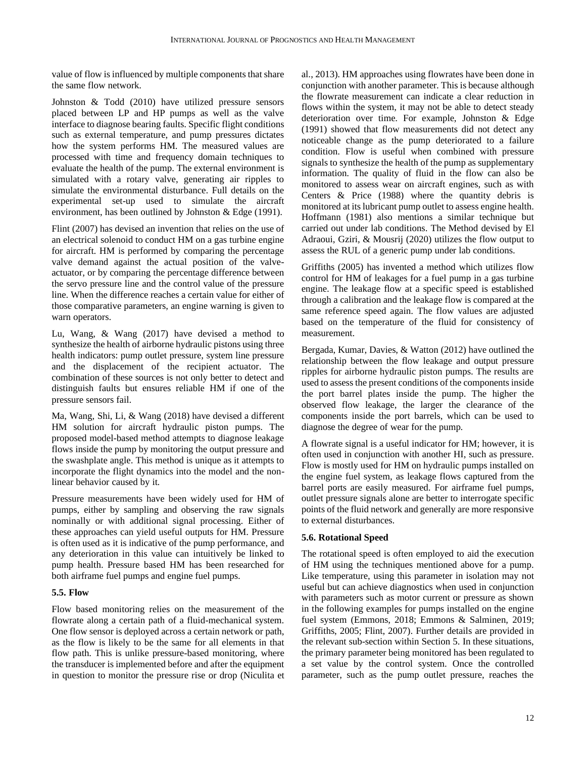value of flow is influenced by multiple components that share the same flow network.

Johnston & Todd (2010) have utilized pressure sensors placed between LP and HP pumps as well as the valve interface to diagnose bearing faults. Specific flight conditions such as external temperature, and pump pressures dictates how the system performs HM. The measured values are processed with time and frequency domain techniques to evaluate the health of the pump. The external environment is simulated with a rotary valve, generating air ripples to simulate the environmental disturbance. Full details on the experimental set-up used to simulate the aircraft environment, has been outlined by Johnston & Edge (1991).

Flint (2007) has devised an invention that relies on the use of an electrical solenoid to conduct HM on a gas turbine engine for aircraft. HM is performed by comparing the percentage valve demand against the actual position of the valveactuator, or by comparing the percentage difference between the servo pressure line and the control value of the pressure line. When the difference reaches a certain value for either of those comparative parameters, an engine warning is given to warn operators.

Lu, Wang, & Wang (2017) have devised a method to synthesize the health of airborne hydraulic pistons using three health indicators: pump outlet pressure, system line pressure and the displacement of the recipient actuator. The combination of these sources is not only better to detect and distinguish faults but ensures reliable HM if one of the pressure sensors fail.

Ma, Wang, Shi, Li, & Wang (2018) have devised a different HM solution for aircraft hydraulic piston pumps. The proposed model-based method attempts to diagnose leakage flows inside the pump by monitoring the output pressure and the swashplate angle. This method is unique as it attempts to incorporate the flight dynamics into the model and the nonlinear behavior caused by it.

Pressure measurements have been widely used for HM of pumps, either by sampling and observing the raw signals nominally or with additional signal processing. Either of these approaches can yield useful outputs for HM. Pressure is often used as it is indicative of the pump performance, and any deterioration in this value can intuitively be linked to pump health. Pressure based HM has been researched for both airframe fuel pumps and engine fuel pumps.

# **5.5. Flow**

Flow based monitoring relies on the measurement of the flowrate along a certain path of a fluid-mechanical system. One flow sensor is deployed across a certain network or path, as the flow is likely to be the same for all elements in that flow path. This is unlike pressure-based monitoring, where the transducer is implemented before and after the equipment in question to monitor the pressure rise or drop (Niculita et al., 2013). HM approaches using flowrates have been done in conjunction with another parameter. This is because although the flowrate measurement can indicate a clear reduction in flows within the system, it may not be able to detect steady deterioration over time. For example, Johnston & Edge (1991) showed that flow measurements did not detect any noticeable change as the pump deteriorated to a failure condition. Flow is useful when combined with pressure signals to synthesize the health of the pump as supplementary information. The quality of fluid in the flow can also be monitored to assess wear on aircraft engines, such as with Centers & Price (1988) where the quantity debris is monitored at its lubricant pump outlet to assess engine health. Hoffmann (1981) also mentions a similar technique but carried out under lab conditions. The Method devised by El Adraoui, Gziri, & Mousrij (2020) utilizes the flow output to assess the RUL of a generic pump under lab conditions.

Griffiths (2005) has invented a method which utilizes flow control for HM of leakages for a fuel pump in a gas turbine engine. The leakage flow at a specific speed is established through a calibration and the leakage flow is compared at the same reference speed again. The flow values are adjusted based on the temperature of the fluid for consistency of measurement.

Bergada, Kumar, Davies, & Watton (2012) have outlined the relationship between the flow leakage and output pressure ripples for airborne hydraulic piston pumps. The results are used to assess the present conditions of the components inside the port barrel plates inside the pump. The higher the observed flow leakage, the larger the clearance of the components inside the port barrels, which can be used to diagnose the degree of wear for the pump.

A flowrate signal is a useful indicator for HM; however, it is often used in conjunction with another HI, such as pressure. Flow is mostly used for HM on hydraulic pumps installed on the engine fuel system, as leakage flows captured from the barrel ports are easily measured. For airframe fuel pumps, outlet pressure signals alone are better to interrogate specific points of the fluid network and generally are more responsive to external disturbances.

# **5.6. Rotational Speed**

The rotational speed is often employed to aid the execution of HM using the techniques mentioned above for a pump. Like temperature, using this parameter in isolation may not useful but can achieve diagnostics when used in conjunction with parameters such as motor current or pressure as shown in the following examples for pumps installed on the engine fuel system (Emmons, 2018; Emmons & Salminen, 2019; Griffiths, 2005; Flint, 2007). Further details are provided in the relevant sub-section within Section 5. In these situations, the primary parameter being monitored has been regulated to a set value by the control system. Once the controlled parameter, such as the pump outlet pressure, reaches the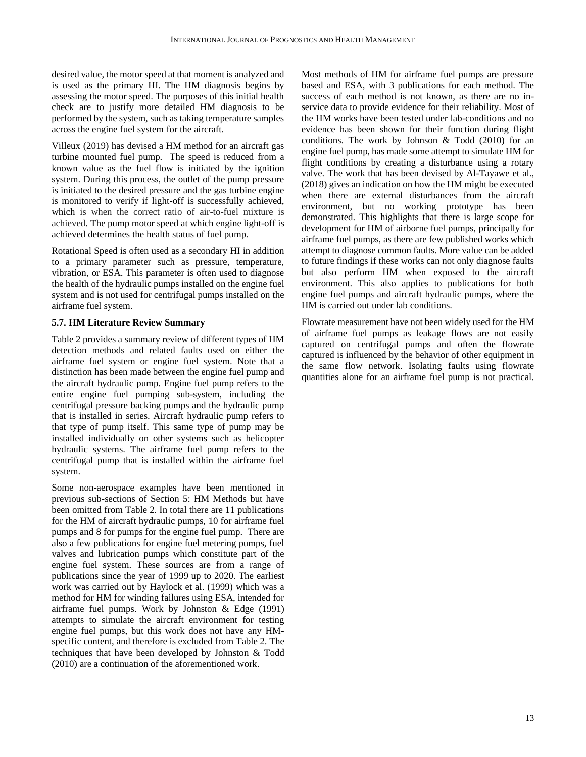desired value, the motor speed at that moment is analyzed and is used as the primary HI. The HM diagnosis begins by assessing the motor speed. The purposes of this initial health check are to justify more detailed HM diagnosis to be performed by the system, such as taking temperature samples across the engine fuel system for the aircraft.

Villeux (2019) has devised a HM method for an aircraft gas turbine mounted fuel pump. The speed is reduced from a known value as the fuel flow is initiated by the ignition system. During this process, the outlet of the pump pressure is initiated to the desired pressure and the gas turbine engine is monitored to verify if light-off is successfully achieved, which is when the correct ratio of air-to-fuel mixture is achieved. The pump motor speed at which engine light-off is achieved determines the health status of fuel pump.

Rotational Speed is often used as a secondary HI in addition to a primary parameter such as pressure, temperature, vibration, or ESA. This parameter is often used to diagnose the health of the hydraulic pumps installed on the engine fuel system and is not used for centrifugal pumps installed on the airframe fuel system.

## **5.7. HM Literature Review Summary**

Table 2 provides a summary review of different types of HM detection methods and related faults used on either the airframe fuel system or engine fuel system. Note that a distinction has been made between the engine fuel pump and the aircraft hydraulic pump. Engine fuel pump refers to the entire engine fuel pumping sub-system, including the centrifugal pressure backing pumps and the hydraulic pump that is installed in series. Aircraft hydraulic pump refers to that type of pump itself. This same type of pump may be installed individually on other systems such as helicopter hydraulic systems. The airframe fuel pump refers to the centrifugal pump that is installed within the airframe fuel system.

Some non-aerospace examples have been mentioned in previous sub-sections of Section 5: HM Methods but have been omitted from Table 2. In total there are 11 publications for the HM of aircraft hydraulic pumps, 10 for airframe fuel pumps and 8 for pumps for the engine fuel pump. There are also a few publications for engine fuel metering pumps, fuel valves and lubrication pumps which constitute part of the engine fuel system. These sources are from a range of publications since the year of 1999 up to 2020. The earliest work was carried out by Haylock et al. (1999) which was a method for HM for winding failures using ESA, intended for airframe fuel pumps. Work by Johnston & Edge (1991) attempts to simulate the aircraft environment for testing engine fuel pumps, but this work does not have any HMspecific content, and therefore is excluded from Table 2. The techniques that have been developed by Johnston & Todd (2010) are a continuation of the aforementioned work.

Most methods of HM for airframe fuel pumps are pressure based and ESA, with 3 publications for each method. The success of each method is not known, as there are no inservice data to provide evidence for their reliability. Most of the HM works have been tested under lab-conditions and no evidence has been shown for their function during flight conditions. The work by Johnson & Todd (2010) for an engine fuel pump, has made some attempt to simulate HM for flight conditions by creating a disturbance using a rotary valve. The work that has been devised by Al-Tayawe et al., (2018) gives an indication on how the HM might be executed when there are external disturbances from the aircraft environment, but no working prototype has been demonstrated. This highlights that there is large scope for development for HM of airborne fuel pumps, principally for airframe fuel pumps, as there are few published works which attempt to diagnose common faults. More value can be added to future findings if these works can not only diagnose faults but also perform HM when exposed to the aircraft environment. This also applies to publications for both engine fuel pumps and aircraft hydraulic pumps, where the HM is carried out under lab conditions.

Flowrate measurement have not been widely used for the HM of airframe fuel pumps as leakage flows are not easily captured on centrifugal pumps and often the flowrate captured is influenced by the behavior of other equipment in the same flow network. Isolating faults using flowrate quantities alone for an airframe fuel pump is not practical.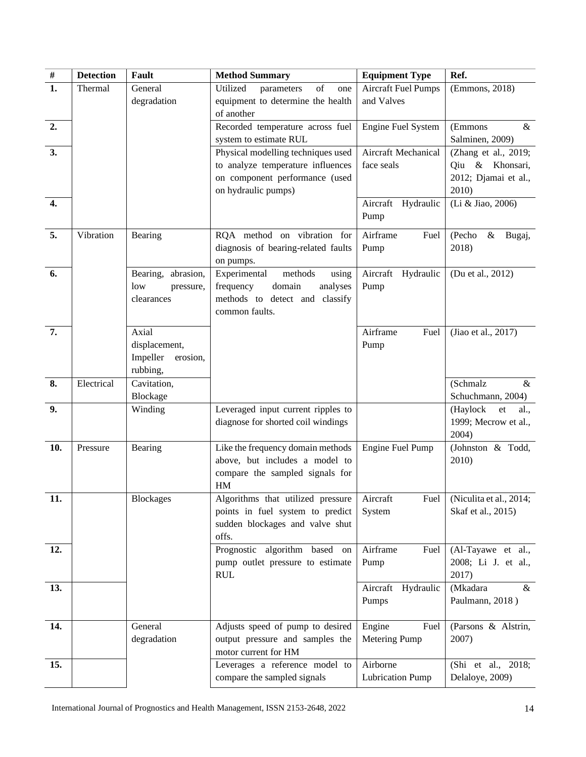| $\overline{\#}$  | <b>Detection</b> | Fault                | <b>Method Summary</b>                   | <b>Equipment Type</b>      | Ref.                           |
|------------------|------------------|----------------------|-----------------------------------------|----------------------------|--------------------------------|
| $\overline{1}$ . | Thermal          | General              | Utilized<br>of<br>parameters<br>one     | <b>Aircraft Fuel Pumps</b> | (Emmons, 2018)                 |
|                  |                  | degradation          | equipment to determine the health       | and Valves                 |                                |
|                  |                  |                      | of another                              |                            |                                |
| 2.               |                  |                      | Recorded temperature across fuel        | Engine Fuel System         | (Emmons<br>$\&$                |
|                  |                  |                      | system to estimate RUL                  |                            | Salminen, 2009)                |
| 3.               |                  |                      | Physical modelling techniques used      | Aircraft Mechanical        | (Zhang et al., 2019;           |
|                  |                  |                      | to analyze temperature influences       | face seals                 | Qiu & Khonsari,                |
|                  |                  |                      | on component performance (used          |                            | 2012; Djamai et al.,           |
|                  |                  |                      | on hydraulic pumps)                     |                            | 2010)                          |
| 4.               |                  |                      |                                         | Aircraft Hydraulic<br>Pump | (Li & Jiao, 2006)              |
|                  |                  |                      |                                         |                            |                                |
| 5.               | Vibration        | Bearing              | RQA method on vibration for             | Airframe<br>Fuel           | (Pecho<br>$\&$<br>Bugaj,       |
|                  |                  |                      | diagnosis of bearing-related faults     | Pump                       | 2018)                          |
|                  |                  |                      | on pumps.                               |                            |                                |
| 6.               |                  | Bearing, abrasion,   | Experimental<br>methods<br>using        | Aircraft Hydraulic         | (Du et al., 2012)              |
|                  |                  | low<br>pressure,     | domain<br>frequency<br>analyses         | Pump                       |                                |
|                  |                  | clearances           | methods to detect and classify          |                            |                                |
|                  |                  |                      | common faults.                          |                            |                                |
| $\overline{7}$ . |                  | Axial                |                                         | Airframe<br>Fuel           | (Jiao et al., 2017)            |
|                  |                  | displacement,        |                                         | Pump                       |                                |
|                  |                  | Impeller<br>erosion, |                                         |                            |                                |
|                  |                  | rubbing,             |                                         |                            |                                |
| 8.               | Electrical       | Cavitation,          |                                         |                            | (Schmalz<br>$\&$               |
|                  |                  | Blockage             |                                         |                            | Schuchmann, 2004)              |
| 9.               |                  | Winding              | Leveraged input current ripples to      |                            | (Haylock<br>${\it et}$<br>al., |
|                  |                  |                      | diagnose for shorted coil windings      |                            | 1999; Mecrow et al.,           |
|                  |                  |                      |                                         |                            | 2004)                          |
| 10.              | Pressure         | Bearing              | Like the frequency domain methods       | Engine Fuel Pump           | (Johnston & Todd,              |
|                  |                  |                      | above, but includes a model to          |                            | 2010)                          |
|                  |                  |                      | compare the sampled signals for         |                            |                                |
| 11.              |                  |                      | HM<br>Algorithms that utilized pressure | Aircraft<br>Fuel           | (Niculita et al., 2014;        |
|                  |                  | <b>Blockages</b>     | points in fuel system to predict        |                            |                                |
|                  |                  |                      | sudden blockages and valve shut         | System                     | Skaf et al., 2015)             |
|                  |                  |                      | offs.                                   |                            |                                |
| 12.              |                  |                      | Prognostic algorithm based on           | Airframe<br>Fuel           | (Al-Tayawe et al.,             |
|                  |                  |                      | pump outlet pressure to estimate        | Pump                       | 2008; Li J. et al.,            |
|                  |                  |                      | <b>RUL</b>                              |                            | 2017)                          |
| 13.              |                  |                      |                                         | Aircraft Hydraulic         | (Mkadara<br>&                  |
|                  |                  |                      |                                         | Pumps                      | Paulmann, 2018)                |
|                  |                  |                      |                                         |                            |                                |
| 14.              |                  | General              | Adjusts speed of pump to desired        | Engine<br>Fuel             | (Parsons & Alstrin,            |
|                  |                  | degradation          | output pressure and samples the         | Metering Pump              | 2007)                          |
|                  |                  |                      | motor current for HM                    |                            |                                |
| 15.              |                  |                      | Leverages a reference model to          | Airborne                   | (Shi et al., 2018;             |
|                  |                  |                      | compare the sampled signals             | <b>Lubrication Pump</b>    | Delaloye, 2009)                |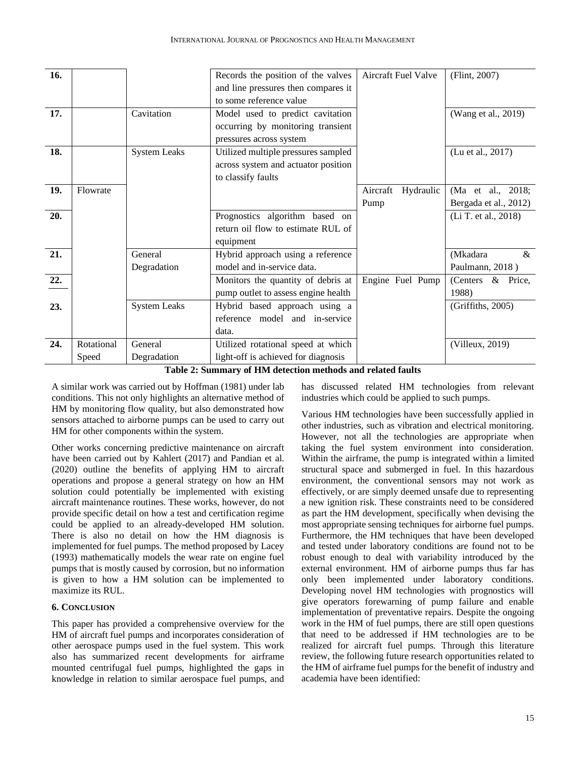| 16. |            |                     | Records the position of the valves  | Aircraft Fuel Valve   | (Flint, 2007)         |
|-----|------------|---------------------|-------------------------------------|-----------------------|-----------------------|
|     |            |                     | and line pressures then compares it |                       |                       |
|     |            |                     | to some reference value             |                       |                       |
| 17. |            | Cavitation          | Model used to predict cavitation    |                       | (Wang et al., 2019)   |
|     |            |                     | occurring by monitoring transient   |                       |                       |
|     |            |                     | pressures across system             |                       |                       |
| 18. |            | <b>System Leaks</b> | Utilized multiple pressures sampled |                       | (Lu et al., 2017)     |
|     |            |                     | across system and actuator position |                       |                       |
|     |            |                     | to classify faults                  |                       |                       |
| 19. | Flowrate   |                     |                                     | Aircraft<br>Hydraulic | (Ma et al., 2018;     |
|     |            |                     |                                     | Pump                  | Bergada et al., 2012) |
| 20. |            |                     | Prognostics algorithm based on      |                       | (Li T. et al., 2018)  |
|     |            |                     | return oil flow to estimate RUL of  |                       |                       |
|     |            |                     | equipment                           |                       |                       |
| 21. |            | General             | Hybrid approach using a reference   |                       | (Mkadara<br>$\&$      |
|     |            | Degradation         | model and in-service data.          |                       | Paulmann, 2018)       |
| 22. |            |                     | Monitors the quantity of debris at  | Engine Fuel Pump      | (Centers & Price,     |
|     |            |                     | pump outlet to assess engine health |                       | 1988)                 |
| 23. |            | <b>System Leaks</b> | Hybrid based approach using a       |                       | (Griffiths, 2005)     |
|     |            |                     | reference model and in-service      |                       |                       |
|     |            |                     | data.                               |                       |                       |
| 24. | Rotational | General             | Utilized rotational speed at which  |                       | (Villeux, 2019)       |
|     | Speed      | Degradation         | light-off is achieved for diagnosis |                       |                       |

**Table 2: Summary of HM detection methods and related faults**

A similar work was carried out by Hoffman (1981) under lab conditions. This not only highlights an alternative method of HM by monitoring flow quality, but also demonstrated how sensors attached to airborne pumps can be used to carry out HM for other components within the system.

Other works concerning predictive maintenance on aircraft have been carried out by Kahlert (2017) and Pandian et al. (2020) outline the benefits of applying HM to aircraft operations and propose a general strategy on how an HM solution could potentially be implemented with existing aircraft maintenance routines. These works, however, do not provide specific detail on how a test and certification regime could be applied to an already-developed HM solution. There is also no detail on how the HM diagnosis is implemented for fuel pumps. The method proposed by Lacey (1993) mathematically models the wear rate on engine fuel pumps that is mostly caused by corrosion, but no information is given to how a HM solution can be implemented to maximize its RUL.

# **6. CONCLUSION**

This paper has provided a comprehensive overview for the HM of aircraft fuel pumps and incorporates consideration of other aerospace pumps used in the fuel system. This work also has summarized recent developments for airframe mounted centrifugal fuel pumps, highlighted the gaps in knowledge in relation to similar aerospace fuel pumps, and has discussed related HM technologies from relevant industries which could be applied to such pumps.

Various HM technologies have been successfully applied in other industries, such as vibration and electrical monitoring. However, not all the technologies are appropriate when taking the fuel system environment into consideration. Within the airframe, the pump is integrated within a limited structural space and submerged in fuel. In this hazardous environment, the conventional sensors may not work as effectively, or are simply deemed unsafe due to representing a new ignition risk. These constraints need to be considered as part the HM development, specifically when devising the most appropriate sensing techniques for airborne fuel pumps. Furthermore, the HM techniques that have been developed and tested under laboratory conditions are found not to be robust enough to deal with variability introduced by the external environment. HM of airborne pumps thus far has only been implemented under laboratory conditions. Developing novel HM technologies with prognostics will give operators forewarning of pump failure and enable implementation of preventative repairs. Despite the ongoing work in the HM of fuel pumps, there are still open questions that need to be addressed if HM technologies are to be realized for aircraft fuel pumps. Through this literature review, the following future research opportunities related to the HM of airframe fuel pumps for the benefit of industry and academia have been identified: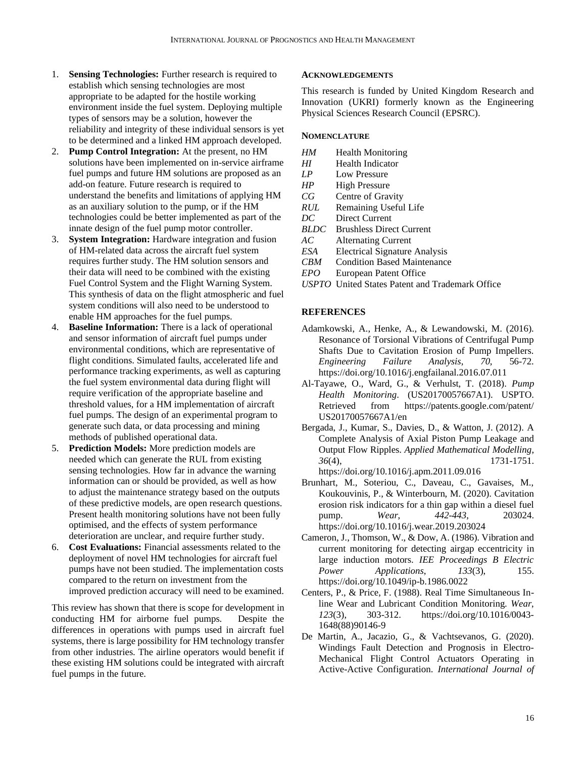- 1. **Sensing Technologies:** Further research is required to establish which sensing technologies are most appropriate to be adapted for the hostile working environment inside the fuel system. Deploying multiple types of sensors may be a solution, however the reliability and integrity of these individual sensors is yet to be determined and a linked HM approach developed.
- 2. **Pump Control Integration:** At the present, no HM solutions have been implemented on in-service airframe fuel pumps and future HM solutions are proposed as an add-on feature. Future research is required to understand the benefits and limitations of applying HM as an auxiliary solution to the pump, or if the HM technologies could be better implemented as part of the innate design of the fuel pump motor controller.
- 3. **System Integration:** Hardware integration and fusion of HM-related data across the aircraft fuel system requires further study. The HM solution sensors and their data will need to be combined with the existing Fuel Control System and the Flight Warning System. This synthesis of data on the flight atmospheric and fuel system conditions will also need to be understood to enable HM approaches for the fuel pumps.
- 4. **Baseline Information:** There is a lack of operational and sensor information of aircraft fuel pumps under environmental conditions, which are representative of flight conditions. Simulated faults, accelerated life and performance tracking experiments, as well as capturing the fuel system environmental data during flight will require verification of the appropriate baseline and threshold values, for a HM implementation of aircraft fuel pumps. The design of an experimental program to generate such data, or data processing and mining methods of published operational data.
- 5. **Prediction Models:** More prediction models are needed which can generate the RUL from existing sensing technologies. How far in advance the warning information can or should be provided, as well as how to adjust the maintenance strategy based on the outputs of these predictive models, are open research questions. Present health monitoring solutions have not been fully optimised, and the effects of system performance deterioration are unclear, and require further study.
- 6. **Cost Evaluations:** Financial assessments related to the deployment of novel HM technologies for aircraft fuel pumps have not been studied. The implementation costs compared to the return on investment from the improved prediction accuracy will need to be examined.

This review has shown that there is scope for development in conducting HM for airborne fuel pumps. Despite the differences in operations with pumps used in aircraft fuel systems, there is large possibility for HM technology transfer from other industries. The airline operators would benefit if these existing HM solutions could be integrated with aircraft fuel pumps in the future.

# **ACKNOWLEDGEMENTS**

This research is funded by United Kingdom Research and Innovation (UKRI) formerly known as the Engineering Physical Sciences Research Council (EPSRC).

# **NOMENCLATURE**

- *HM* Health Monitoring
- *HI* Health Indicator
- *LP* Low Pressure
- *HP* High Pressure
- *CG* Centre of Gravity
- *RUL* Remaining Useful Life
- *DC* Direct Current
- *BLDC* Brushless Direct Current
- *AC* Alternating Current
- *ESA* Electrical Signature Analysis
- *CBM* Condition Based Maintenance
- *EPO* European Patent Office
- *USPTO* United States Patent and Trademark Office

# **REFERENCES**

- Adamkowski, A., Henke, A., & Lewandowski, M. (2016). Resonance of Torsional Vibrations of Centrifugal Pump Shafts Due to Cavitation Erosion of Pump Impellers. *Engineering Failure Analysis*, *70*, 56-72. https://doi.org/10.1016/j.engfailanal.2016.07.011
- Al-Tayawe, O., Ward, G., & Verhulst, T. (2018). *Pump Health Monitoring*. (US20170057667A1). USPTO. Retrieved from https://patents.google.com/patent/ US20170057667A1/en
- Bergada, J., Kumar, S., Davies, D., & Watton, J. (2012). A Complete Analysis of Axial Piston Pump Leakage and Output Flow Ripples. *Applied Mathematical Modelling*, *36*(4), 1731-1751. https://doi.org/10.1016/j.apm.2011.09.016
- Brunhart, M., Soteriou, C., Daveau, C., Gavaises, M., Koukouvinis, P., & Winterbourn, M. (2020). Cavitation erosion risk indicators for a thin gap within a diesel fuel pump. *Wear*, *442-443*, 203024. https://doi.org/10.1016/j.wear.2019.203024
- Cameron, J., Thomson, W., & Dow, A. (1986). Vibration and current monitoring for detecting airgap eccentricity in large induction motors. *IEE Proceedings B Electric Power Applications*, *133*(3), 155. https://doi.org/10.1049/ip-b.1986.0022
- Centers, P., & Price, F. (1988). Real Time Simultaneous Inline Wear and Lubricant Condition Monitoring. *Wear*, *123*(3), 303-312. https://doi.org/10.1016/0043- 1648(88)90146-9
- De Martin, A., Jacazio, G., & Vachtsevanos, G. (2020). Windings Fault Detection and Prognosis in Electro-Mechanical Flight Control Actuators Operating in Active-Active Configuration. *International Journal of*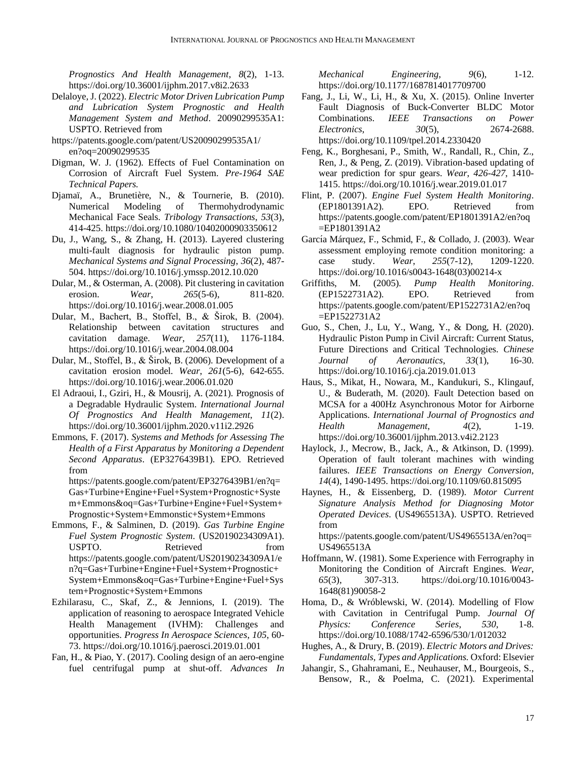*Prognostics And Health Management*, *8*(2), 1-13. https://doi.org/10.36001/ijphm.2017.v8i2.2633

- Delaloye, J. (2022). *Electric Motor Driven Lubrication Pump and Lubrication System Prognostic and Health Management System and Method*. 20090299535A1: USPTO. Retrieved from
- https://patents.google.com/patent/US20090299535A1/ en?oq=20090299535
- Digman, W. J. (1962). Effects of Fuel Contamination on Corrosion of Aircraft Fuel System. *Pre-1964 SAE Technical Papers.*
- Djamaï, A., Brunetière, N., & Tournerie, B. (2010). Numerical Modeling of Thermohydrodynamic Mechanical Face Seals. *Tribology Transactions*, *53*(3), 414-425. https://doi.org/10.1080/10402000903350612
- Du, J., Wang, S., & Zhang, H. (2013). Layered clustering multi-fault diagnosis for hydraulic piston pump. *Mechanical Systems and Signal Processing*, *36*(2), 487- 504. https://doi.org/10.1016/j.ymssp.2012.10.020
- Dular, M., & Osterman, A. (2008). Pit clustering in cavitation erosion. *Wear*, *265*(5-6), 811-820. https://doi.org/10.1016/j.wear.2008.01.005
- Dular, M., Bachert, B., Stoffel, B., & Širok, B. (2004). Relationship between cavitation structures and cavitation damage. *Wear*, *257*(11), 1176-1184. https://doi.org/10.1016/j.wear.2004.08.004
- Dular, M., Stoffel, B., & Širok, B. (2006). Development of a cavitation erosion model. *Wear*, *261*(5-6), 642-655. https://doi.org/10.1016/j.wear.2006.01.020
- El Adraoui, I., Gziri, H., & Mousrij, A. (2021). Prognosis of a Degradable Hydraulic System. *International Journal Of Prognostics And Health Management*, *11*(2). https://doi.org/10.36001/ijphm.2020.v11i2.2926
- Emmons, F. (2017). *Systems and Methods for Assessing The Health of a First Apparatus by Monitoring a Dependent Second Apparatus*. (EP3276439B1). EPO. Retrieved from

https://patents.google.com/patent/EP3276439B1/en?q= Gas+Turbine+Engine+Fuel+System+Prognostic+Syste m+Emmons&oq=Gas+Turbine+Engine+Fuel+System+ Prognostic+System+Emmonstic+System+Emmons

- Emmons, F., & Salminen, D. (2019). *Gas Turbine Engine Fuel System Prognostic System*. (US20190234309A1). USPTO. Retrieved from https://patents.google.com/patent/US20190234309A1/e n?q=Gas+Turbine+Engine+Fuel+System+Prognostic+ System+Emmons&oq=Gas+Turbine+Engine+Fuel+Sys tem+Prognostic+System+Emmons
- Ezhilarasu, C., Skaf, Z., & Jennions, I. (2019). The application of reasoning to aerospace Integrated Vehicle Health Management (IVHM): Challenges and opportunities. *Progress In Aerospace Sciences*, *105*, 60- 73. https://doi.org/10.1016/j.paerosci.2019.01.001
- Fan, H., & Piao, Y. (2017). Cooling design of an aero-engine fuel centrifugal pump at shut-off. *Advances In*

*Mechanical Engineering*, *9*(6), 1-12. https://doi.org/10.1177/1687814017709700

- Fang, J., Li, W., Li, H., & Xu, X. (2015). Online Inverter Fault Diagnosis of Buck-Converter BLDC Motor Combinations. *IEEE Transactions on Power Electronics*, *30*(5), 2674-2688. https://doi.org/10.1109/tpel.2014.2330420
- Feng, K., Borghesani, P., Smith, W., Randall, R., Chin, Z., Ren, J., & Peng, Z. (2019). Vibration-based updating of wear prediction for spur gears. *Wear*, *426-427*, 1410- 1415. https://doi.org/10.1016/j.wear.2019.01.017
- Flint, P. (2007). *Engine Fuel System Health Monitoring*. (EP1801391A2). EPO. Retrieved from https://patents.google.com/patent/EP1801391A2/en?oq =EP1801391A2
- García Márquez, F., Schmid, F., & Collado, J. (2003). Wear assessment employing remote condition monitoring: a case study. *Wear*, *255*(7-12), 1209-1220. https://doi.org/10.1016/s0043-1648(03)00214-x
- Griffiths, M. (2005). *Pump Health Monitoring*. (EP1522731A2). EPO. Retrieved from https://patents.google.com/patent/EP1522731A2/en?oq =EP1522731A2
- Guo, S., Chen, J., Lu, Y., Wang, Y., & Dong, H. (2020). Hydraulic Piston Pump in Civil Aircraft: Current Status, Future Directions and Critical Technologies. *Chinese Journal of Aeronautics*, *33*(1), 16-30. https://doi.org/10.1016/j.cja.2019.01.013
- Haus, S., Mikat, H., Nowara, M., Kandukuri, S., Klingauf, U., & Buderath, M. (2020). Fault Detection based on MCSA for a 400Hz Asynchronous Motor for Airborne Applications. *International Journal of Prognostics and Health Management*, *4*(2), 1-19. https://doi.org/10.36001/ijphm.2013.v4i2.2123
- Haylock, J., Mecrow, B., Jack, A., & Atkinson, D. (1999). Operation of fault tolerant machines with winding failures. *IEEE Transactions on Energy Conversion*, *14*(4), 1490-1495. https://doi.org/10.1109/60.815095
- Haynes, H., & Eissenberg, D. (1989). *Motor Current Signature Analysis Method for Diagnosing Motor Operated Devices*. (US4965513A). USPTO. Retrieved from

https://patents.google.com/patent/US4965513A/en?oq= US4965513A

- Hoffmann, W. (1981). Some Experience with Ferrography in Monitoring the Condition of Aircraft Engines. *Wear*, *65*(3), 307-313. https://doi.org/10.1016/0043- 1648(81)90058-2
- Homa, D., & Wróblewski, W. (2014). Modelling of Flow with Cavitation in Centrifugal Pump. *Journal Of Physics: Conference Series*, *530*, 1-8. https://doi.org/10.1088/1742-6596/530/1/012032
- Hughes, A., & Drury, B. (2019). *Electric Motors and Drives: Fundamentals, Types and Applications.* Oxford: Elsevier
- Jahangir, S., Ghahramani, E., Neuhauser, M., Bourgeois, S., Bensow, R., & Poelma, C. (2021). Experimental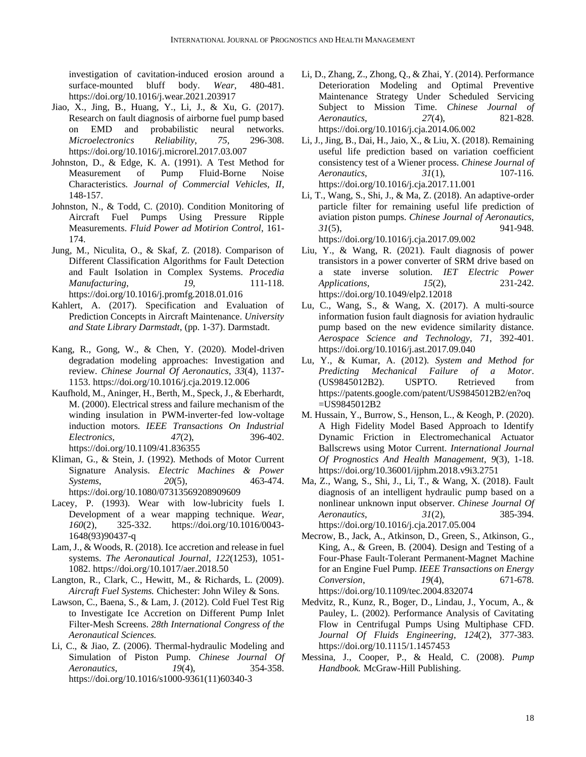investigation of cavitation-induced erosion around a surface-mounted bluff body. *Wear*, 480-481. https://doi.org/10.1016/j.wear.2021.203917

- Jiao, X., Jing, B., Huang, Y., Li, J., & Xu, G. (2017). Research on fault diagnosis of airborne fuel pump based on EMD and probabilistic neural networks. *Microelectronics Reliability*, *75*, 296-308. https://doi.org/10.1016/j.microrel.2017.03.007
- Johnston, D., & Edge, K. A. (1991). A Test Method for Measurement of Pump Fluid-Borne Noise Characteristics. *Journal of Commercial Vehicles, II*, 148-157.
- Johnston, N., & Todd, C. (2010). Condition Monitoring of Aircraft Fuel Pumps Using Pressure Ripple Measurements. *Fluid Power ad Motirion Control*, 161- 174.
- Jung, M., Niculita, O., & Skaf, Z. (2018). Comparison of Different Classification Algorithms for Fault Detection and Fault Isolation in Complex Systems. *Procedia Manufacturing*, *19*, 111-118. https://doi.org/10.1016/j.promfg.2018.01.016
- Kahlert, A. (2017). Specification and Evaluation of Prediction Concepts in Aircraft Maintenance. *University and State Library Darmstadt*, (pp. 1-37). Darmstadt.
- Kang, R., Gong, W., & Chen, Y. (2020). Model-driven degradation modeling approaches: Investigation and review. *Chinese Journal Of Aeronautics*, *33*(4), 1137- 1153. https://doi.org/10.1016/j.cja.2019.12.006
- Kaufhold, M., Aninger, H., Berth, M., Speck, J., & Eberhardt, M. (2000). Electrical stress and failure mechanism of the winding insulation in PWM-inverter-fed low-voltage induction motors. *IEEE Transactions On Industrial Electronics*, *47*(2), 396-402. https://doi.org/10.1109/41.836355
- Kliman, G., & Stein, J. (1992). Methods of Motor Current Signature Analysis. *Electric Machines & Power Systems*, *20*(5), 463-474. https://doi.org/10.1080/07313569208909609
- Lacey, P. (1993). Wear with low-lubricity fuels I. Development of a wear mapping technique. *Wear*, *160*(2), 325-332. https://doi.org/10.1016/0043- 1648(93)90437-q
- Lam, J., & Woods, R. (2018). Ice accretion and release in fuel systems. *The Aeronautical Journal*, *122*(1253), 1051- 1082. https://doi.org/10.1017/aer.2018.50
- Langton, R., Clark, C., Hewitt, M., & Richards, L. (2009). *Aircraft Fuel Systems.* Chichester: John Wiley & Sons.
- Lawson, C., Baena, S., & Lam, J. (2012). Cold Fuel Test Rig to Investigate Ice Accretion on Different Pump Inlet Filter-Mesh Screens. *28th International Congress of the Aeronautical Sciences.*
- Li, C., & Jiao, Z. (2006). Thermal-hydraulic Modeling and Simulation of Piston Pump. *Chinese Journal Of Aeronautics*, *19*(4), 354-358. https://doi.org/10.1016/s1000-9361(11)60340-3
- Li, D., Zhang, Z., Zhong, Q., & Zhai, Y. (2014). Performance Deterioration Modeling and Optimal Preventive Maintenance Strategy Under Scheduled Servicing Subject to Mission Time. *Chinese Journal of Aeronautics*, *27*(4), 821-828. https://doi.org/10.1016/j.cja.2014.06.002
- Li, J., Jing, B., Dai, H., Jaio, X., & Liu, X. (2018). Remaining useful life prediction based on variation coefficient consistency test of a Wiener process. *Chinese Journal of Aeronautics*, *31*(1), 107-116. https://doi.org/10.1016/j.cja.2017.11.001
- Li, T., Wang, S., Shi, J., & Ma, Z. (2018). An adaptive-order particle filter for remaining useful life prediction of aviation piston pumps. *Chinese Journal of Aeronautics*, *31*(5), 941-948. https://doi.org/10.1016/j.cja.2017.09.002
- Liu, Y., & Wang, R. (2021). Fault diagnosis of power transistors in a power converter of SRM drive based on a state inverse solution. *IET Electric Power Applications*, *15*(2), 231-242. https://doi.org/10.1049/elp2.12018
- Lu, C., Wang, S., & Wang, X. (2017). A multi-source information fusion fault diagnosis for aviation hydraulic pump based on the new evidence similarity distance. *Aerospace Science and Technology*, *71*, 392-401. https://doi.org/10.1016/j.ast.2017.09.040
- Lu, Y., & Kumar, A. (2012). *System and Method for Predicting Mechanical Failure of a Motor*. (US9845012B2). USPTO. Retrieved from https://patents.google.com/patent/US9845012B2/en?oq =US9845012B2
- M. Hussain, Y., Burrow, S., Henson, L., & Keogh, P. (2020). A High Fidelity Model Based Approach to Identify Dynamic Friction in Electromechanical Actuator Ballscrews using Motor Current. *International Journal Of Prognostics And Health Management*, *9*(3), 1-18. https://doi.org/10.36001/ijphm.2018.v9i3.2751
- Ma, Z., Wang, S., Shi, J., Li, T., & Wang, X. (2018). Fault diagnosis of an intelligent hydraulic pump based on a nonlinear unknown input observer. *Chinese Journal Of Aeronautics*, *31*(2), 385-394. https://doi.org/10.1016/j.cja.2017.05.004
- Mecrow, B., Jack, A., Atkinson, D., Green, S., Atkinson, G., King, A., & Green, B. (2004). Design and Testing of a Four-Phase Fault-Tolerant Permanent-Magnet Machine for an Engine Fuel Pump. *IEEE Transactions on Energy Conversion*, *19*(4), 671-678. https://doi.org/10.1109/tec.2004.832074
- Medvitz, R., Kunz, R., Boger, D., Lindau, J., Yocum, A., & Pauley, L. (2002). Performance Analysis of Cavitating Flow in Centrifugal Pumps Using Multiphase CFD. *Journal Of Fluids Engineering*, *124*(2), 377-383. https://doi.org/10.1115/1.1457453
- Messina, J., Cooper, P., & Heald, C. (2008). *Pump Handbook.* McGraw-Hill Publishing.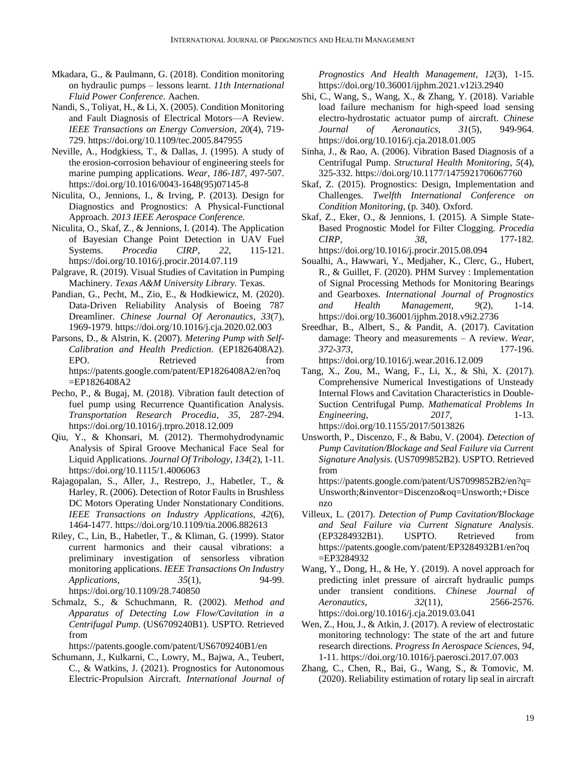- Mkadara, G., & Paulmann, G. (2018). Condition monitoring on hydraulic pumps – lessons learnt. *11th International Fluid Power Conference.* Aachen.
- Nandi, S., Toliyat, H., & Li, X. (2005). Condition Monitoring and Fault Diagnosis of Electrical Motors—A Review. *IEEE Transactions on Energy Conversion*, *20*(4), 719- 729. https://doi.org/10.1109/tec.2005.847955
- Neville, A., Hodgkiess, T., & Dallas, J. (1995). A study of the erosion-corrosion behaviour of engineering steels for marine pumping applications. *Wear*, *186-187*, 497-507. https://doi.org/10.1016/0043-1648(95)07145-8
- Niculita, O., Jennions, I., & Irving, P. (2013). Design for Diagnostics and Prognostics: A Physical-Functional Approach. *2013 IEEE Aerospace Conference.*
- Niculita, O., Skaf, Z., & Jennions, I. (2014). The Application of Bayesian Change Point Detection in UAV Fuel Systems. *Procedia CIRP*, *22*, 115-121. https://doi.org/10.1016/j.procir.2014.07.119
- Palgrave, R. (2019). Visual Studies of Cavitation in Pumping Machinery. *Texas A&M University Library.* Texas.
- Pandian, G., Pecht, M., Zio, E., & Hodkiewicz, M. (2020). Data-Driven Reliability Analysis of Boeing 787 Dreamliner. *Chinese Journal Of Aeronautics*, *33*(7), 1969-1979. https://doi.org/10.1016/j.cja.2020.02.003
- Parsons, D., & Alstrin, K. (2007). *Metering Pump with Self-Calibration and Health Prediction*. (EP1826408A2). EPO. Retrieved from https://patents.google.com/patent/EP1826408A2/en?oq =EP1826408A2
- Pecho, P., & Bugaj, M. (2018). Vibration fault detection of fuel pump using Recurrence Quantification Analysis. *Transportation Research Procedia*, *35*, 287-294. https://doi.org/10.1016/j.trpro.2018.12.009
- Qiu, Y., & Khonsari, M. (2012). Thermohydrodynamic Analysis of Spiral Groove Mechanical Face Seal for Liquid Applications. *Journal Of Tribology*, *134*(2), 1-11. https://doi.org/10.1115/1.4006063
- Rajagopalan, S., Aller, J., Restrepo, J., Habetler, T., & Harley, R. (2006). Detection of Rotor Faults in Brushless DC Motors Operating Under Nonstationary Conditions. *IEEE Transactions on Industry Applications*, *42*(6), 1464-1477. https://doi.org/10.1109/tia.2006.882613
- Riley, C., Lin, B., Habetler, T., & Kliman, G. (1999). Stator current harmonics and their causal vibrations: a preliminary investigation of sensorless vibration monitoring applications. *IEEE Transactions On Industry Applications*, *35*(1), 94-99. https://doi.org/10.1109/28.740850
- Schmalz, S., & Schuchmann, R. (2002). *Method and Apparatus of Detecting Low Flow/Cavitation in a Centrifugal Pump*. (US6709240B1). USPTO. Retrieved from

https://patents.google.com/patent/US6709240B1/en

Schumann, J., Kulkarni, C., Lowry, M., Bajwa, A., Teubert, C., & Watkins, J. (2021). Prognostics for Autonomous Electric-Propulsion Aircraft. *International Journal of*  *Prognostics And Health Management*, *12*(3), 1-15. https://doi.org/10.36001/ijphm.2021.v12i3.2940

- Shi, C., Wang, S., Wang, X., & Zhang, Y. (2018). Variable load failure mechanism for high-speed load sensing electro-hydrostatic actuator pump of aircraft. *Chinese Journal of Aeronautics*, *31*(5), 949-964. https://doi.org/10.1016/j.cja.2018.01.005
- Sinha, J., & Rao, A. (2006). Vibration Based Diagnosis of a Centrifugal Pump. *Structural Health Monitoring*, *5*(4), 325-332. https://doi.org/10.1177/1475921706067760
- Skaf, Z. (2015). Prognostics: Design, Implementation and Challenges. *Twelfth International Conference on Condition Monitoring*, (p. 340). Oxford.
- Skaf, Z., Eker, O., & Jennions, I. (2015). A Simple State-Based Prognostic Model for Filter Clogging. *Procedia CIRP*, *38*, 177-182. https://doi.org/10.1016/j.procir.2015.08.094
- Soualhi, A., Hawwari, Y., Medjaher, K., Clerc, G., Hubert, R., & Guillet, F. (2020). PHM Survey : Implementation of Signal Processing Methods for Monitoring Bearings and Gearboxes. *International Journal of Prognostics and Health Management*, *9*(2), 1-14. https://doi.org/10.36001/ijphm.2018.v9i2.2736
- Sreedhar, B., Albert, S., & Pandit, A. (2017). Cavitation damage: Theory and measurements – A review. *Wear*, *372-373*, 177-196. https://doi.org/10.1016/j.wear.2016.12.009
- Tang, X., Zou, M., Wang, F., Li, X., & Shi, X. (2017). Comprehensive Numerical Investigations of Unsteady Internal Flows and Cavitation Characteristics in Double-Suction Centrifugal Pump. *Mathematical Problems In Engineering*, *2017*, 1-13. https://doi.org/10.1155/2017/5013826
- Unsworth, P., Discenzo, F., & Babu, V. (2004). *Detection of Pump Cavitation/Blockage and Seal Failure via Current Signature Analysis*. (US7099852B2). USPTO. Retrieved from

https://patents.google.com/patent/US7099852B2/en?q= Unsworth;&inventor=Discenzo&oq=Unsworth;+Disce nzo

- Villeux, L. (2017). *Detection of Pump Cavitation/Blockage and Seal Failure via Current Signature Analysis*. (EP3284932B1). USPTO. Retrieved from https://patents.google.com/patent/EP3284932B1/en?oq =EP3284932
- Wang, Y., Dong, H., & He, Y. (2019). A novel approach for predicting inlet pressure of aircraft hydraulic pumps under transient conditions. *Chinese Journal of Aeronautics*, *32*(11), 2566-2576. https://doi.org/10.1016/j.cja.2019.03.041
- Wen, Z., Hou, J., & Atkin, J. (2017). A review of electrostatic monitoring technology: The state of the art and future research directions. *Progress In Aerospace Sciences*, *94*, 1-11. https://doi.org/10.1016/j.paerosci.2017.07.003
- Zhang, C., Chen, R., Bai, G., Wang, S., & Tomovic, M. (2020). Reliability estimation of rotary lip seal in aircraft